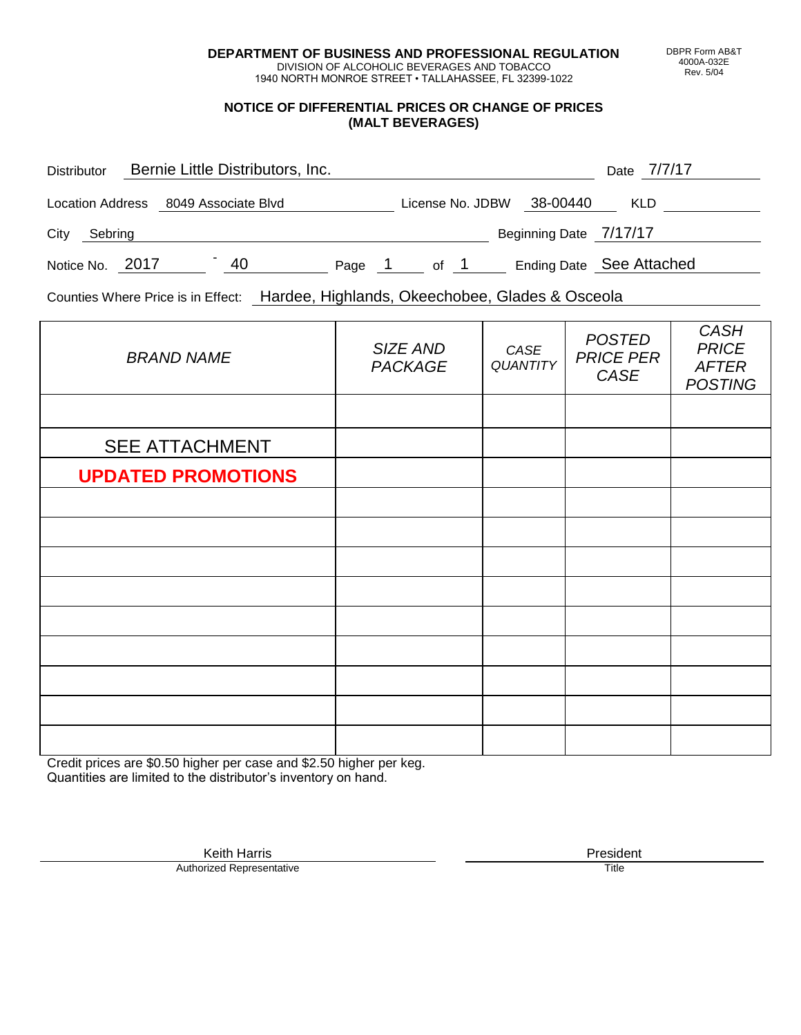**DEPARTMENT OF BUSINESS AND PROFESSIONAL REGULATION** DIVISION OF ALCOHOLIC BEVERAGES AND TOBACCO

1940 NORTH MONROE STREET • TALLAHASSEE, FL 32399-1022

### **NOTICE OF DIFFERENTIAL PRICES OR CHANGE OF PRICES (MALT BEVERAGES)**

| <b>Distributor</b>                   |  | Bernie Little Distributors, Inc. |        |                  |      |                          | Date 7/7/17 |  |
|--------------------------------------|--|----------------------------------|--------|------------------|------|--------------------------|-------------|--|
| Location Address 8049 Associate Blvd |  |                                  |        | License No. JDBW |      | 38-00440                 | <b>KLD</b>  |  |
| City<br>Sebring                      |  |                                  |        |                  |      | Beginning Date 7/17/17   |             |  |
| Notice No. 2017                      |  | 40                               | Page 1 |                  | of 1 | Ending Date See Attached |             |  |

Counties Where Price is in Effect: Hardee, Highlands, Okeechobee, Glades & Osceola

| <b>BRAND NAME</b>         | SIZE AND<br><b>PACKAGE</b> | CASE<br><b>QUANTITY</b> | <b>POSTED</b><br><b>PRICE PER</b><br>CASE | <b>CASH</b><br><b>PRICE</b><br><b>AFTER</b><br><b>POSTING</b> |
|---------------------------|----------------------------|-------------------------|-------------------------------------------|---------------------------------------------------------------|
|                           |                            |                         |                                           |                                                               |
| <b>SEE ATTACHMENT</b>     |                            |                         |                                           |                                                               |
| <b>UPDATED PROMOTIONS</b> |                            |                         |                                           |                                                               |
|                           |                            |                         |                                           |                                                               |
|                           |                            |                         |                                           |                                                               |
|                           |                            |                         |                                           |                                                               |
|                           |                            |                         |                                           |                                                               |
|                           |                            |                         |                                           |                                                               |
|                           |                            |                         |                                           |                                                               |
|                           |                            |                         |                                           |                                                               |
|                           |                            |                         |                                           |                                                               |
|                           |                            |                         |                                           |                                                               |

Credit prices are \$0.50 higher per case and \$2.50 higher per keg. Quantities are limited to the distributor's inventory on hand.

> Keith Harris **President**<br> **President**<br>
> Prized Representative **President Authorized Representative**

DBPR Form AB&T 4000A-032E Rev. 5/04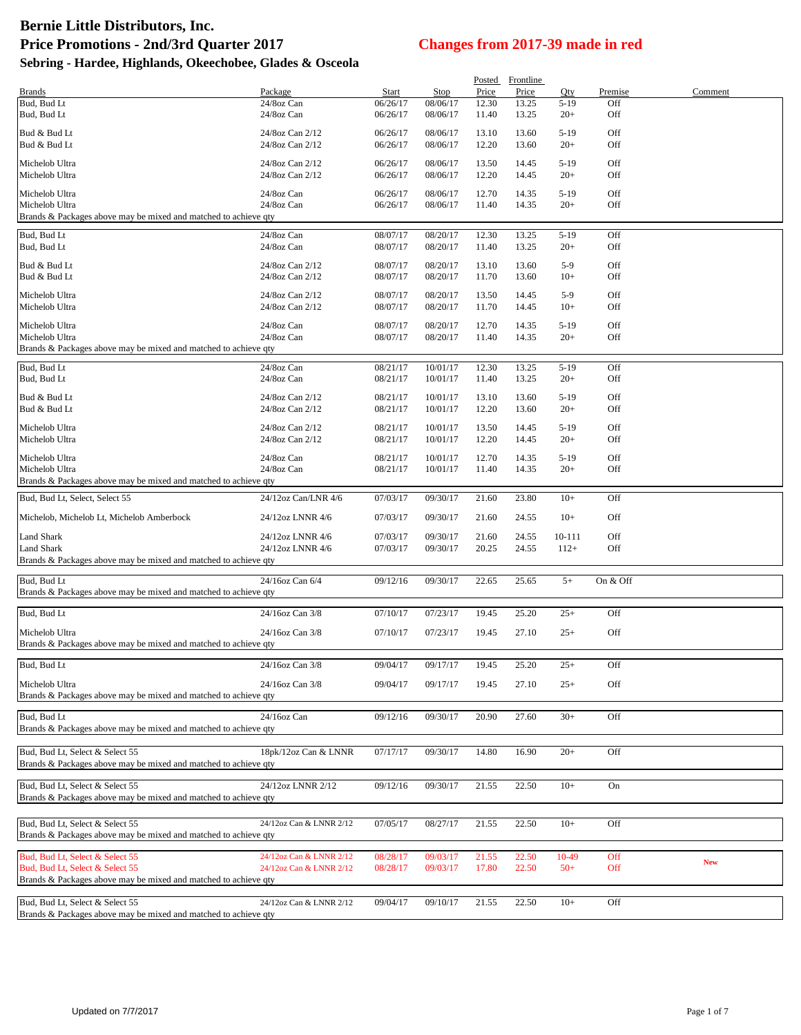| <b>Brands</b>                                                                                      | Package                              | Start                | <b>Stop</b>          | Posted<br>Price | Frontline<br>Price | Qty              | Premise    | Comment    |
|----------------------------------------------------------------------------------------------------|--------------------------------------|----------------------|----------------------|-----------------|--------------------|------------------|------------|------------|
| Bud, Bud Lt                                                                                        | 24/8oz Can                           | 06/26/17             | 08/06/17             | 12.30           | 13.25              | $5-19$           | Off        |            |
| Bud, Bud Lt                                                                                        | 24/8oz Can                           | 06/26/17             | 08/06/17             | 11.40           | 13.25              | $20+$            | Off        |            |
| Bud & Bud Lt<br>Bud & Bud Lt                                                                       | 24/8oz Can 2/12<br>24/8oz Can 2/12   | 06/26/17<br>06/26/17 | 08/06/17<br>08/06/17 | 13.10<br>12.20  | 13.60<br>13.60     | $5-19$<br>$20+$  | Off<br>Off |            |
|                                                                                                    |                                      |                      |                      |                 |                    |                  |            |            |
| Michelob Ultra<br>Michelob Ultra                                                                   | 24/8oz Can 2/12<br>24/8oz Can 2/12   | 06/26/17<br>06/26/17 | 08/06/17<br>08/06/17 | 13.50<br>12.20  | 14.45<br>14.45     | $5-19$<br>$20+$  | Off<br>Off |            |
| Michelob Ultra                                                                                     | 24/8oz Can                           | 06/26/17             | 08/06/17             | 12.70           | 14.35              | $5-19$           | Off        |            |
| Michelob Ultra                                                                                     | 24/8oz Can                           | 06/26/17             | 08/06/17             | 11.40           | 14.35              | $20+$            | Off        |            |
| Brands & Packages above may be mixed and matched to achieve gty                                    |                                      |                      |                      |                 |                    |                  |            |            |
| Bud, Bud Lt                                                                                        | 24/8oz Can                           | 08/07/17             | 08/20/17             | 12.30           | 13.25              | $5-19$           | Off        |            |
| Bud, Bud Lt                                                                                        | 24/8oz Can                           | 08/07/17             | 08/20/17             | 11.40           | 13.25              | $20+$            | Off        |            |
| Bud & Bud Lt                                                                                       | 24/8oz Can 2/12                      | 08/07/17             | 08/20/17             | 13.10           | 13.60              | $5-9$            | Off        |            |
| Bud & Bud Lt                                                                                       | 24/8oz Can 2/12                      | 08/07/17             | 08/20/17             | 11.70           | 13.60              | $10+$            | Off        |            |
| Michelob Ultra                                                                                     | 24/8oz Can 2/12                      | 08/07/17             | 08/20/17             | 13.50           | 14.45              | $5-9$            | Off        |            |
| Michelob Ultra                                                                                     | 24/8oz Can 2/12                      | 08/07/17             | 08/20/17             | 11.70           | 14.45              | $10+$            | Off        |            |
| Michelob Ultra                                                                                     | 24/8oz Can                           | 08/07/17             | 08/20/17             | 12.70           | 14.35              | $5-19$           | Off        |            |
| Michelob Ultra<br>Brands & Packages above may be mixed and matched to achieve qty                  | 24/8oz Can                           | 08/07/17             | 08/20/17             | 11.40           | 14.35              | $20+$            | Off        |            |
|                                                                                                    |                                      |                      |                      |                 |                    |                  |            |            |
| Bud, Bud Lt<br>Bud, Bud Lt                                                                         | 24/8oz Can<br>24/8oz Can             | 08/21/17<br>08/21/17 | 10/01/17<br>10/01/17 | 12.30<br>11.40  | 13.25<br>13.25     | $5-19$<br>$20+$  | Off<br>Off |            |
|                                                                                                    |                                      |                      |                      |                 |                    |                  |            |            |
| Bud & Bud Lt<br>Bud & Bud Lt                                                                       | 24/8oz Can 2/12<br>24/8oz Can 2/12   | 08/21/17<br>08/21/17 | 10/01/17<br>10/01/17 | 13.10<br>12.20  | 13.60<br>13.60     | $5-19$<br>$20+$  | Off<br>Off |            |
|                                                                                                    |                                      |                      |                      |                 |                    |                  |            |            |
| Michelob Ultra<br>Michelob Ultra                                                                   | 24/8oz Can 2/12<br>24/8oz Can 2/12   | 08/21/17<br>08/21/17 | 10/01/17<br>10/01/17 | 13.50<br>12.20  | 14.45<br>14.45     | $5-19$<br>$20+$  | Off<br>Off |            |
|                                                                                                    |                                      |                      |                      |                 |                    |                  |            |            |
| Michelob Ultra<br>Michelob Ultra                                                                   | 24/8oz Can<br>24/8oz Can             | 08/21/17<br>08/21/17 | 10/01/17<br>10/01/17 | 12.70<br>11.40  | 14.35<br>14.35     | $5-19$<br>$20+$  | Off<br>Off |            |
| Brands & Packages above may be mixed and matched to achieve qty                                    |                                      |                      |                      |                 |                    |                  |            |            |
| Bud, Bud Lt, Select, Select 55                                                                     | 24/12oz Can/LNR 4/6                  | 07/03/17             | 09/30/17             | 21.60           | 23.80              | $10+$            | Off        |            |
| Michelob, Michelob Lt, Michelob Amberbock                                                          | 24/12oz LNNR 4/6                     | 07/03/17             | 09/30/17             | 21.60           | 24.55              | $10+$            | Off        |            |
|                                                                                                    |                                      |                      |                      |                 |                    |                  |            |            |
| Land Shark<br><b>Land Shark</b>                                                                    | 24/12oz LNNR 4/6<br>24/12oz LNNR 4/6 | 07/03/17<br>07/03/17 | 09/30/17<br>09/30/17 | 21.60<br>20.25  | 24.55<br>24.55     | 10-111<br>$112+$ | Off<br>Off |            |
| Brands & Packages above may be mixed and matched to achieve qty                                    |                                      |                      |                      |                 |                    |                  |            |            |
|                                                                                                    |                                      |                      |                      |                 |                    |                  |            |            |
| Bud, Bud Lt<br>Brands & Packages above may be mixed and matched to achieve qty                     | 24/16oz Can 6/4                      | 09/12/16             | 09/30/17             | 22.65           | 25.65              | $5+$             | On & Off   |            |
| Bud, Bud Lt                                                                                        | 24/16oz Can 3/8                      | 07/10/17             | 07/23/17             | 19.45           | 25.20              | $25+$            | Off        |            |
|                                                                                                    |                                      |                      |                      |                 |                    |                  |            |            |
| Michelob Ultra<br>Brands & Packages above may be mixed and matched to achieve qty                  | 24/16oz Can 3/8                      | 07/10/17             | 07/23/17             | 19.45           | 27.10              | $25+$            | Off        |            |
| Bud, Bud Lt                                                                                        | 24/16oz Can 3/8                      | 09/04/17             | 09/17/17             | 19.45           | 25.20              | $25+$            | Off        |            |
|                                                                                                    |                                      |                      |                      |                 |                    |                  |            |            |
| Michelob Ultra<br>Brands & Packages above may be mixed and matched to achieve qty                  | 24/16oz Can 3/8                      | 09/04/17             | 09/17/17             | 19.45           | 27.10              | $25+$            | Off        |            |
|                                                                                                    |                                      |                      |                      |                 |                    |                  |            |            |
| Bud, Bud Lt<br>Brands & Packages above may be mixed and matched to achieve qty                     | 24/16oz Can                          | 09/12/16             | 09/30/17             | 20.90           | 27.60              | $30+$            | Off        |            |
|                                                                                                    |                                      |                      |                      |                 |                    |                  |            |            |
| Bud, Bud Lt, Select & Select 55<br>Brands & Packages above may be mixed and matched to achieve qty | 18pk/12oz Can & LNNR                 | 07/17/17             | 09/30/17             | 14.80           | 16.90              | $20+$            | Off        |            |
|                                                                                                    |                                      |                      |                      |                 |                    |                  |            |            |
| Bud, Bud Lt, Select & Select 55                                                                    | 24/12oz LNNR 2/12                    | 09/12/16             | 09/30/17             | 21.55           | 22.50              | $10+$            | On         |            |
| Brands & Packages above may be mixed and matched to achieve qty                                    |                                      |                      |                      |                 |                    |                  |            |            |
| Bud, Bud Lt, Select & Select 55                                                                    | 24/12oz Can & LNNR 2/12              | 07/05/17             | 08/27/17             | 21.55           | 22.50              | $10+$            | Off        |            |
| Brands & Packages above may be mixed and matched to achieve qty                                    |                                      |                      |                      |                 |                    |                  |            |            |
| Bud, Bud Lt, Select & Select 55                                                                    | 24/12oz Can & LNNR 2/12              | 08/28/17             | 09/03/17             | 21.55           | 22.50              | 10-49            | Off        |            |
| Bud, Bud Lt, Select & Select 55                                                                    | 24/12oz Can & LNNR 2/12              | 08/28/17             | 09/03/17             | 17.80           | 22.50              | $50+$            | Off        | <b>New</b> |
| Brands & Packages above may be mixed and matched to achieve qty                                    |                                      |                      |                      |                 |                    |                  |            |            |
| Bud, Bud Lt, Select & Select 55                                                                    | 24/12oz Can & LNNR 2/12              | 09/04/17             | 09/10/17             | 21.55           | 22.50              | $10+$            | Off        |            |
| Brands & Packages above may be mixed and matched to achieve qty                                    |                                      |                      |                      |                 |                    |                  |            |            |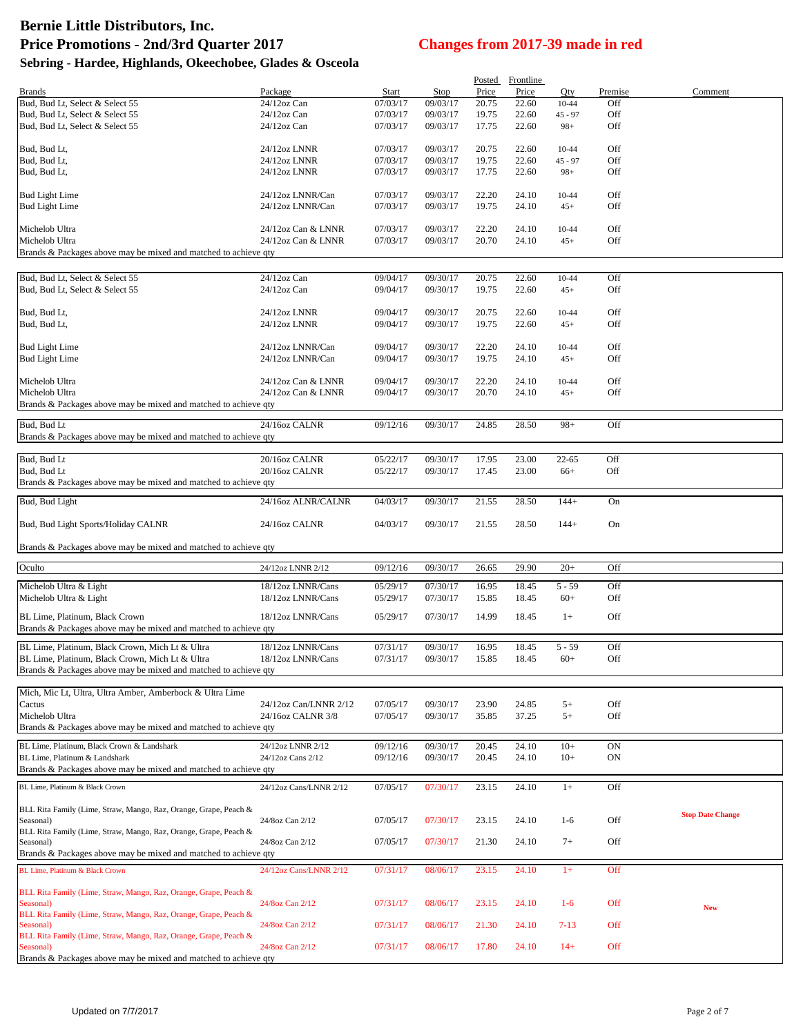| 09/03/17<br>Bud, Bud Lt, Select & Select 55<br>24/12oz Can<br>07/03/17<br>20.75<br>22.60<br>Off<br>$10 - 44$<br>Bud, Bud Lt, Select & Select 55<br>$24/12$ oz Can<br>07/03/17<br>19.75<br>22.60<br>Off<br>09/03/17<br>$45 - 97$<br>07/03/17<br>09/03/17<br>Off<br>Bud, Bud Lt, Select & Select 55<br>$24/12$ oz Can<br>17.75<br>22.60<br>$98+$<br>Bud, Bud Lt,<br>24/12oz LNNR<br>07/03/17<br>09/03/17<br>20.75<br>Off<br>22.60<br>10-44<br>24/12oz LNNR<br>19.75<br>22.60<br>Off<br>Bud, Bud Lt,<br>07/03/17<br>09/03/17<br>45 - 97<br>Bud, Bud Lt,<br>24/12oz LNNR<br>07/03/17<br>09/03/17<br>17.75<br>22.60<br>Off<br>$98+$<br>07/03/17<br>09/03/17<br>22.20<br>Off<br><b>Bud Light Lime</b><br>24/12oz LNNR/Can<br>24.10<br>10-44<br><b>Bud Light Lime</b><br>24/12oz LNNR/Can<br>07/03/17<br>09/03/17<br>19.75<br>Off<br>24.10<br>$45+$<br>Off<br>Michelob Ultra<br>24/12oz Can & LNNR<br>07/03/17<br>09/03/17<br>22.20<br>24.10<br>$10 - 44$<br>Michelob Ultra<br>24/12oz Can & LNNR<br>07/03/17<br>09/03/17<br>20.70<br>24.10<br>Off<br>$45+$<br>Brands & Packages above may be mixed and matched to achieve qty<br>Bud, Bud Lt, Select & Select 55<br>24/12oz Can<br>09/04/17<br>09/30/17<br>20.75<br>22.60<br>Off<br>10-44<br>Bud, Bud Lt, Select & Select 55<br>$24/12$ oz Can<br>09/04/17<br>09/30/17<br>19.75<br>22.60<br>$45+$<br>Off<br>09/04/17<br>09/30/17<br>22.60<br>Off<br>Bud, Bud Lt,<br>24/12oz LNNR<br>20.75<br>10-44<br>Bud, Bud Lt,<br>09/30/17<br>Off<br>24/12oz LNNR<br>09/04/17<br>19.75<br>22.60<br>$45+$<br>09/04/17<br>09/30/17<br>22.20<br>Off<br><b>Bud Light Lime</b><br>24/12oz LNNR/Can<br>24.10<br>$10 - 44$<br><b>Bud Light Lime</b><br>24/12oz LNNR/Can<br>09/04/17<br>09/30/17<br>19.75<br>24.10<br>Off<br>$45+$<br>Michelob Ultra<br>09/04/17<br>09/30/17<br>22.20<br>Off<br>24/12oz Can & LNNR<br>24.10<br>$10 - 44$<br>Michelob Ultra<br>24/12oz Can & LNNR<br>09/30/17<br>20.70<br>Off<br>09/04/17<br>24.10<br>$45+$<br>Brands & Packages above may be mixed and matched to achieve qty<br>Bud, Bud Lt<br>$98+$<br>Off<br>24/16oz CALNR<br>09/12/16<br>09/30/17<br>24.85<br>28.50<br>Brands & Packages above may be mixed and matched to achieve qty<br>Bud, Bud Lt<br>20/16oz CALNR<br>09/30/17<br>17.95<br>Off<br>05/22/17<br>23.00<br>$22 - 65$<br>Bud, Bud Lt<br>20/16oz CALNR<br>05/22/17<br>09/30/17<br>23.00<br>Off<br>17.45<br>$66+$<br>Brands & Packages above may be mixed and matched to achieve qty<br>Bud, Bud Light<br>24/16oz ALNR/CALNR<br>09/30/17<br>21.55<br>28.50<br>04/03/17<br>$144+$<br>On<br>Bud, Bud Light Sports/Holiday CALNR<br>24/16oz CALNR<br>04/03/17<br>09/30/17<br>21.55<br>28.50<br>$144+$<br>On<br>Brands & Packages above may be mixed and matched to achieve qty<br>Oculto<br>09/30/17<br>29.90<br>24/12oz LNNR 2/12<br>09/12/16<br>26.65<br>$20+$<br>Off<br>Michelob Ultra & Light<br>18/12oz LNNR/Cans<br>07/30/17<br>05/29/17<br>16.95<br>18.45<br>$5 - 59$<br>Off<br>Michelob Ultra & Light<br>05/29/17<br>07/30/17<br>Off<br>18/12oz LNNR/Cans<br>15.85<br>18.45<br>$60+$<br>BL Lime, Platinum, Black Crown<br>05/29/17<br>07/30/17<br>14.99<br>Off<br>18/12oz LNNR/Cans<br>18.45<br>$1+$<br>Brands & Packages above may be mixed and matched to achieve qty<br>BL Lime, Platinum, Black Crown, Mich Lt & Ultra<br>18/12oz LNNR/Cans<br>07/31/17<br>09/30/17<br>16.95<br>18.45<br>$5 - 59$<br>Off<br>BL Lime, Platinum, Black Crown, Mich Lt & Ultra<br>18/12oz LNNR/Cans<br>07/31/17<br>09/30/17<br>15.85<br>18.45<br>$60+$<br>Off<br>Brands & Packages above may be mixed and matched to achieve qty<br>Mich, Mic Lt, Ultra, Ultra Amber, Amberbock & Ultra Lime<br>Cactus<br>09/30/17<br>23.90<br>Off<br>24/12oz Can/LNNR 2/12<br>07/05/17<br>24.85<br>$5+$<br>Michelob Ultra<br>24/16oz CALNR 3/8<br>37.25<br>$5+$<br>Off<br>07/05/17<br>09/30/17<br>35.85<br>Brands & Packages above may be mixed and matched to achieve qty<br>09/12/16<br>09/30/17<br>24.10<br>$10+$<br>ON<br>24/12oz LNNR 2/12<br>20.45<br>BL Lime, Platinum, Black Crown & Landshark<br>BL Lime. Platinum & Landshark<br>24/12oz Cans 2/12<br>09/12/16<br>09/30/17<br>ON<br>20.45<br>24.10<br>$10+$<br>Brands & Packages above may be mixed and matched to achieve qty<br>23.15<br>24.10<br>BL Lime, Platinum & Black Crown<br>24/12oz Cans/LNNR 2/12<br>07/05/17<br>07/30/17<br>$1+$<br>Off<br>BLL Rita Family (Lime, Straw, Mango, Raz, Orange, Grape, Peach &<br><b>Stop Date Change</b><br>07/30/17<br>Off<br>Seasonal)<br>24/8oz Can 2/12<br>07/05/17<br>23.15<br>24.10<br>$1-6$<br>BLL Rita Family (Lime, Straw, Mango, Raz, Orange, Grape, Peach &<br>24/8oz Can 2/12<br>07/05/17<br>Off<br>Seasonal)<br>07/30/17<br>21.30<br>24.10<br>$7+$<br>Brands & Packages above may be mixed and matched to achieve qty<br>08/06/17<br>24.10<br>BL Lime, Platinum & Black Crown<br>07/31/17<br>23.15<br>$1+$<br>Off<br>24/12oz Cans/LNNR 2/12<br>BLL Rita Family (Lime, Straw, Mango, Raz, Orange, Grape, Peach &<br>24/8oz Can 2/12<br>Off<br>Seasonal)<br>07/31/17<br>08/06/17<br>23.15<br>24.10<br>$1-6$<br><b>New</b><br>BLL Rita Family (Lime, Straw, Mango, Raz, Orange, Grape, Peach &<br>Off<br>Seasonal)<br>24/8oz Can 2/12<br>07/31/17<br>08/06/17<br>21.30<br>24.10<br>$7 - 13$<br>BLL Rita Family (Lime, Straw, Mango, Raz, Orange, Grape, Peach &<br>Off<br>07/31/17<br>08/06/17<br>17.80<br>24.10<br>$14+$<br>Seasonal)<br>24/8oz Can 2/12<br>Brands & Packages above may be mixed and matched to achieve qty | <b>Brands</b> | Package | Start | Stop | Price | Posted Frontline<br>Price | Qty | Premise | Comment |
|-------------------------------------------------------------------------------------------------------------------------------------------------------------------------------------------------------------------------------------------------------------------------------------------------------------------------------------------------------------------------------------------------------------------------------------------------------------------------------------------------------------------------------------------------------------------------------------------------------------------------------------------------------------------------------------------------------------------------------------------------------------------------------------------------------------------------------------------------------------------------------------------------------------------------------------------------------------------------------------------------------------------------------------------------------------------------------------------------------------------------------------------------------------------------------------------------------------------------------------------------------------------------------------------------------------------------------------------------------------------------------------------------------------------------------------------------------------------------------------------------------------------------------------------------------------------------------------------------------------------------------------------------------------------------------------------------------------------------------------------------------------------------------------------------------------------------------------------------------------------------------------------------------------------------------------------------------------------------------------------------------------------------------------------------------------------------------------------------------------------------------------------------------------------------------------------------------------------------------------------------------------------------------------------------------------------------------------------------------------------------------------------------------------------------------------------------------------------------------------------------------------------------------------------------------------------------------------------------------------------------------------------------------------------------------------------------------------------------------------------------------------------------------------------------------------------------------------------------------------------------------------------------------------------------------------------------------------------------------------------------------------------------------------------------------------------------------------------------------------------------------------------------------------------------------------------------------------------------------------------------------------------------------------------------------------------------------------------------------------------------------------------------------------------------------------------------------------------------------------------------------------------------------------------------------------------------------------------------------------------------------------------------------------------------------------------------------------------------------------------------------------------------------------------------------------------------------------------------------------------------------------------------------------------------------------------------------------------------------------------------------------------------------------------------------------------------------------------------------------------------------------------------------------------------------------------------------------------------------------------------------------------------------------------------------------------------------------------------------------------------------------------------------------------------------------------------------------------------------------------------------------------------------------------------------------------------------------------------------------------------------------------------------------------------------------------------------------------------------------------------------------------------------------------------------------------------------------------------------------------------------------------------------------------------------------------------------------------------------------------------------------------------------------------------------------------------------------------------------------------------------------------------------------------------------------------------------------------------------------------------------------------------------------------------------------------------------------------------------------------------------------------------------------------------------------------------------------------------------------------|---------------|---------|-------|------|-------|---------------------------|-----|---------|---------|
|                                                                                                                                                                                                                                                                                                                                                                                                                                                                                                                                                                                                                                                                                                                                                                                                                                                                                                                                                                                                                                                                                                                                                                                                                                                                                                                                                                                                                                                                                                                                                                                                                                                                                                                                                                                                                                                                                                                                                                                                                                                                                                                                                                                                                                                                                                                                                                                                                                                                                                                                                                                                                                                                                                                                                                                                                                                                                                                                                                                                                                                                                                                                                                                                                                                                                                                                                                                                                                                                                                                                                                                                                                                                                                                                                                                                                                                                                                                                                                                                                                                                                                                                                                                                                                                                                                                                                                                                                                                                                                                                                                                                                                                                                                                                                                                                                                                                                                                                                                                                                                                                                                                                                                                                                                                                                                                                                                                                                                                                                           |               |         |       |      |       |                           |     |         |         |
|                                                                                                                                                                                                                                                                                                                                                                                                                                                                                                                                                                                                                                                                                                                                                                                                                                                                                                                                                                                                                                                                                                                                                                                                                                                                                                                                                                                                                                                                                                                                                                                                                                                                                                                                                                                                                                                                                                                                                                                                                                                                                                                                                                                                                                                                                                                                                                                                                                                                                                                                                                                                                                                                                                                                                                                                                                                                                                                                                                                                                                                                                                                                                                                                                                                                                                                                                                                                                                                                                                                                                                                                                                                                                                                                                                                                                                                                                                                                                                                                                                                                                                                                                                                                                                                                                                                                                                                                                                                                                                                                                                                                                                                                                                                                                                                                                                                                                                                                                                                                                                                                                                                                                                                                                                                                                                                                                                                                                                                                                           |               |         |       |      |       |                           |     |         |         |
|                                                                                                                                                                                                                                                                                                                                                                                                                                                                                                                                                                                                                                                                                                                                                                                                                                                                                                                                                                                                                                                                                                                                                                                                                                                                                                                                                                                                                                                                                                                                                                                                                                                                                                                                                                                                                                                                                                                                                                                                                                                                                                                                                                                                                                                                                                                                                                                                                                                                                                                                                                                                                                                                                                                                                                                                                                                                                                                                                                                                                                                                                                                                                                                                                                                                                                                                                                                                                                                                                                                                                                                                                                                                                                                                                                                                                                                                                                                                                                                                                                                                                                                                                                                                                                                                                                                                                                                                                                                                                                                                                                                                                                                                                                                                                                                                                                                                                                                                                                                                                                                                                                                                                                                                                                                                                                                                                                                                                                                                                           |               |         |       |      |       |                           |     |         |         |
|                                                                                                                                                                                                                                                                                                                                                                                                                                                                                                                                                                                                                                                                                                                                                                                                                                                                                                                                                                                                                                                                                                                                                                                                                                                                                                                                                                                                                                                                                                                                                                                                                                                                                                                                                                                                                                                                                                                                                                                                                                                                                                                                                                                                                                                                                                                                                                                                                                                                                                                                                                                                                                                                                                                                                                                                                                                                                                                                                                                                                                                                                                                                                                                                                                                                                                                                                                                                                                                                                                                                                                                                                                                                                                                                                                                                                                                                                                                                                                                                                                                                                                                                                                                                                                                                                                                                                                                                                                                                                                                                                                                                                                                                                                                                                                                                                                                                                                                                                                                                                                                                                                                                                                                                                                                                                                                                                                                                                                                                                           |               |         |       |      |       |                           |     |         |         |
|                                                                                                                                                                                                                                                                                                                                                                                                                                                                                                                                                                                                                                                                                                                                                                                                                                                                                                                                                                                                                                                                                                                                                                                                                                                                                                                                                                                                                                                                                                                                                                                                                                                                                                                                                                                                                                                                                                                                                                                                                                                                                                                                                                                                                                                                                                                                                                                                                                                                                                                                                                                                                                                                                                                                                                                                                                                                                                                                                                                                                                                                                                                                                                                                                                                                                                                                                                                                                                                                                                                                                                                                                                                                                                                                                                                                                                                                                                                                                                                                                                                                                                                                                                                                                                                                                                                                                                                                                                                                                                                                                                                                                                                                                                                                                                                                                                                                                                                                                                                                                                                                                                                                                                                                                                                                                                                                                                                                                                                                                           |               |         |       |      |       |                           |     |         |         |
|                                                                                                                                                                                                                                                                                                                                                                                                                                                                                                                                                                                                                                                                                                                                                                                                                                                                                                                                                                                                                                                                                                                                                                                                                                                                                                                                                                                                                                                                                                                                                                                                                                                                                                                                                                                                                                                                                                                                                                                                                                                                                                                                                                                                                                                                                                                                                                                                                                                                                                                                                                                                                                                                                                                                                                                                                                                                                                                                                                                                                                                                                                                                                                                                                                                                                                                                                                                                                                                                                                                                                                                                                                                                                                                                                                                                                                                                                                                                                                                                                                                                                                                                                                                                                                                                                                                                                                                                                                                                                                                                                                                                                                                                                                                                                                                                                                                                                                                                                                                                                                                                                                                                                                                                                                                                                                                                                                                                                                                                                           |               |         |       |      |       |                           |     |         |         |
|                                                                                                                                                                                                                                                                                                                                                                                                                                                                                                                                                                                                                                                                                                                                                                                                                                                                                                                                                                                                                                                                                                                                                                                                                                                                                                                                                                                                                                                                                                                                                                                                                                                                                                                                                                                                                                                                                                                                                                                                                                                                                                                                                                                                                                                                                                                                                                                                                                                                                                                                                                                                                                                                                                                                                                                                                                                                                                                                                                                                                                                                                                                                                                                                                                                                                                                                                                                                                                                                                                                                                                                                                                                                                                                                                                                                                                                                                                                                                                                                                                                                                                                                                                                                                                                                                                                                                                                                                                                                                                                                                                                                                                                                                                                                                                                                                                                                                                                                                                                                                                                                                                                                                                                                                                                                                                                                                                                                                                                                                           |               |         |       |      |       |                           |     |         |         |
|                                                                                                                                                                                                                                                                                                                                                                                                                                                                                                                                                                                                                                                                                                                                                                                                                                                                                                                                                                                                                                                                                                                                                                                                                                                                                                                                                                                                                                                                                                                                                                                                                                                                                                                                                                                                                                                                                                                                                                                                                                                                                                                                                                                                                                                                                                                                                                                                                                                                                                                                                                                                                                                                                                                                                                                                                                                                                                                                                                                                                                                                                                                                                                                                                                                                                                                                                                                                                                                                                                                                                                                                                                                                                                                                                                                                                                                                                                                                                                                                                                                                                                                                                                                                                                                                                                                                                                                                                                                                                                                                                                                                                                                                                                                                                                                                                                                                                                                                                                                                                                                                                                                                                                                                                                                                                                                                                                                                                                                                                           |               |         |       |      |       |                           |     |         |         |
|                                                                                                                                                                                                                                                                                                                                                                                                                                                                                                                                                                                                                                                                                                                                                                                                                                                                                                                                                                                                                                                                                                                                                                                                                                                                                                                                                                                                                                                                                                                                                                                                                                                                                                                                                                                                                                                                                                                                                                                                                                                                                                                                                                                                                                                                                                                                                                                                                                                                                                                                                                                                                                                                                                                                                                                                                                                                                                                                                                                                                                                                                                                                                                                                                                                                                                                                                                                                                                                                                                                                                                                                                                                                                                                                                                                                                                                                                                                                                                                                                                                                                                                                                                                                                                                                                                                                                                                                                                                                                                                                                                                                                                                                                                                                                                                                                                                                                                                                                                                                                                                                                                                                                                                                                                                                                                                                                                                                                                                                                           |               |         |       |      |       |                           |     |         |         |
|                                                                                                                                                                                                                                                                                                                                                                                                                                                                                                                                                                                                                                                                                                                                                                                                                                                                                                                                                                                                                                                                                                                                                                                                                                                                                                                                                                                                                                                                                                                                                                                                                                                                                                                                                                                                                                                                                                                                                                                                                                                                                                                                                                                                                                                                                                                                                                                                                                                                                                                                                                                                                                                                                                                                                                                                                                                                                                                                                                                                                                                                                                                                                                                                                                                                                                                                                                                                                                                                                                                                                                                                                                                                                                                                                                                                                                                                                                                                                                                                                                                                                                                                                                                                                                                                                                                                                                                                                                                                                                                                                                                                                                                                                                                                                                                                                                                                                                                                                                                                                                                                                                                                                                                                                                                                                                                                                                                                                                                                                           |               |         |       |      |       |                           |     |         |         |
|                                                                                                                                                                                                                                                                                                                                                                                                                                                                                                                                                                                                                                                                                                                                                                                                                                                                                                                                                                                                                                                                                                                                                                                                                                                                                                                                                                                                                                                                                                                                                                                                                                                                                                                                                                                                                                                                                                                                                                                                                                                                                                                                                                                                                                                                                                                                                                                                                                                                                                                                                                                                                                                                                                                                                                                                                                                                                                                                                                                                                                                                                                                                                                                                                                                                                                                                                                                                                                                                                                                                                                                                                                                                                                                                                                                                                                                                                                                                                                                                                                                                                                                                                                                                                                                                                                                                                                                                                                                                                                                                                                                                                                                                                                                                                                                                                                                                                                                                                                                                                                                                                                                                                                                                                                                                                                                                                                                                                                                                                           |               |         |       |      |       |                           |     |         |         |
|                                                                                                                                                                                                                                                                                                                                                                                                                                                                                                                                                                                                                                                                                                                                                                                                                                                                                                                                                                                                                                                                                                                                                                                                                                                                                                                                                                                                                                                                                                                                                                                                                                                                                                                                                                                                                                                                                                                                                                                                                                                                                                                                                                                                                                                                                                                                                                                                                                                                                                                                                                                                                                                                                                                                                                                                                                                                                                                                                                                                                                                                                                                                                                                                                                                                                                                                                                                                                                                                                                                                                                                                                                                                                                                                                                                                                                                                                                                                                                                                                                                                                                                                                                                                                                                                                                                                                                                                                                                                                                                                                                                                                                                                                                                                                                                                                                                                                                                                                                                                                                                                                                                                                                                                                                                                                                                                                                                                                                                                                           |               |         |       |      |       |                           |     |         |         |
|                                                                                                                                                                                                                                                                                                                                                                                                                                                                                                                                                                                                                                                                                                                                                                                                                                                                                                                                                                                                                                                                                                                                                                                                                                                                                                                                                                                                                                                                                                                                                                                                                                                                                                                                                                                                                                                                                                                                                                                                                                                                                                                                                                                                                                                                                                                                                                                                                                                                                                                                                                                                                                                                                                                                                                                                                                                                                                                                                                                                                                                                                                                                                                                                                                                                                                                                                                                                                                                                                                                                                                                                                                                                                                                                                                                                                                                                                                                                                                                                                                                                                                                                                                                                                                                                                                                                                                                                                                                                                                                                                                                                                                                                                                                                                                                                                                                                                                                                                                                                                                                                                                                                                                                                                                                                                                                                                                                                                                                                                           |               |         |       |      |       |                           |     |         |         |
|                                                                                                                                                                                                                                                                                                                                                                                                                                                                                                                                                                                                                                                                                                                                                                                                                                                                                                                                                                                                                                                                                                                                                                                                                                                                                                                                                                                                                                                                                                                                                                                                                                                                                                                                                                                                                                                                                                                                                                                                                                                                                                                                                                                                                                                                                                                                                                                                                                                                                                                                                                                                                                                                                                                                                                                                                                                                                                                                                                                                                                                                                                                                                                                                                                                                                                                                                                                                                                                                                                                                                                                                                                                                                                                                                                                                                                                                                                                                                                                                                                                                                                                                                                                                                                                                                                                                                                                                                                                                                                                                                                                                                                                                                                                                                                                                                                                                                                                                                                                                                                                                                                                                                                                                                                                                                                                                                                                                                                                                                           |               |         |       |      |       |                           |     |         |         |
|                                                                                                                                                                                                                                                                                                                                                                                                                                                                                                                                                                                                                                                                                                                                                                                                                                                                                                                                                                                                                                                                                                                                                                                                                                                                                                                                                                                                                                                                                                                                                                                                                                                                                                                                                                                                                                                                                                                                                                                                                                                                                                                                                                                                                                                                                                                                                                                                                                                                                                                                                                                                                                                                                                                                                                                                                                                                                                                                                                                                                                                                                                                                                                                                                                                                                                                                                                                                                                                                                                                                                                                                                                                                                                                                                                                                                                                                                                                                                                                                                                                                                                                                                                                                                                                                                                                                                                                                                                                                                                                                                                                                                                                                                                                                                                                                                                                                                                                                                                                                                                                                                                                                                                                                                                                                                                                                                                                                                                                                                           |               |         |       |      |       |                           |     |         |         |
|                                                                                                                                                                                                                                                                                                                                                                                                                                                                                                                                                                                                                                                                                                                                                                                                                                                                                                                                                                                                                                                                                                                                                                                                                                                                                                                                                                                                                                                                                                                                                                                                                                                                                                                                                                                                                                                                                                                                                                                                                                                                                                                                                                                                                                                                                                                                                                                                                                                                                                                                                                                                                                                                                                                                                                                                                                                                                                                                                                                                                                                                                                                                                                                                                                                                                                                                                                                                                                                                                                                                                                                                                                                                                                                                                                                                                                                                                                                                                                                                                                                                                                                                                                                                                                                                                                                                                                                                                                                                                                                                                                                                                                                                                                                                                                                                                                                                                                                                                                                                                                                                                                                                                                                                                                                                                                                                                                                                                                                                                           |               |         |       |      |       |                           |     |         |         |
|                                                                                                                                                                                                                                                                                                                                                                                                                                                                                                                                                                                                                                                                                                                                                                                                                                                                                                                                                                                                                                                                                                                                                                                                                                                                                                                                                                                                                                                                                                                                                                                                                                                                                                                                                                                                                                                                                                                                                                                                                                                                                                                                                                                                                                                                                                                                                                                                                                                                                                                                                                                                                                                                                                                                                                                                                                                                                                                                                                                                                                                                                                                                                                                                                                                                                                                                                                                                                                                                                                                                                                                                                                                                                                                                                                                                                                                                                                                                                                                                                                                                                                                                                                                                                                                                                                                                                                                                                                                                                                                                                                                                                                                                                                                                                                                                                                                                                                                                                                                                                                                                                                                                                                                                                                                                                                                                                                                                                                                                                           |               |         |       |      |       |                           |     |         |         |
|                                                                                                                                                                                                                                                                                                                                                                                                                                                                                                                                                                                                                                                                                                                                                                                                                                                                                                                                                                                                                                                                                                                                                                                                                                                                                                                                                                                                                                                                                                                                                                                                                                                                                                                                                                                                                                                                                                                                                                                                                                                                                                                                                                                                                                                                                                                                                                                                                                                                                                                                                                                                                                                                                                                                                                                                                                                                                                                                                                                                                                                                                                                                                                                                                                                                                                                                                                                                                                                                                                                                                                                                                                                                                                                                                                                                                                                                                                                                                                                                                                                                                                                                                                                                                                                                                                                                                                                                                                                                                                                                                                                                                                                                                                                                                                                                                                                                                                                                                                                                                                                                                                                                                                                                                                                                                                                                                                                                                                                                                           |               |         |       |      |       |                           |     |         |         |
|                                                                                                                                                                                                                                                                                                                                                                                                                                                                                                                                                                                                                                                                                                                                                                                                                                                                                                                                                                                                                                                                                                                                                                                                                                                                                                                                                                                                                                                                                                                                                                                                                                                                                                                                                                                                                                                                                                                                                                                                                                                                                                                                                                                                                                                                                                                                                                                                                                                                                                                                                                                                                                                                                                                                                                                                                                                                                                                                                                                                                                                                                                                                                                                                                                                                                                                                                                                                                                                                                                                                                                                                                                                                                                                                                                                                                                                                                                                                                                                                                                                                                                                                                                                                                                                                                                                                                                                                                                                                                                                                                                                                                                                                                                                                                                                                                                                                                                                                                                                                                                                                                                                                                                                                                                                                                                                                                                                                                                                                                           |               |         |       |      |       |                           |     |         |         |
|                                                                                                                                                                                                                                                                                                                                                                                                                                                                                                                                                                                                                                                                                                                                                                                                                                                                                                                                                                                                                                                                                                                                                                                                                                                                                                                                                                                                                                                                                                                                                                                                                                                                                                                                                                                                                                                                                                                                                                                                                                                                                                                                                                                                                                                                                                                                                                                                                                                                                                                                                                                                                                                                                                                                                                                                                                                                                                                                                                                                                                                                                                                                                                                                                                                                                                                                                                                                                                                                                                                                                                                                                                                                                                                                                                                                                                                                                                                                                                                                                                                                                                                                                                                                                                                                                                                                                                                                                                                                                                                                                                                                                                                                                                                                                                                                                                                                                                                                                                                                                                                                                                                                                                                                                                                                                                                                                                                                                                                                                           |               |         |       |      |       |                           |     |         |         |
|                                                                                                                                                                                                                                                                                                                                                                                                                                                                                                                                                                                                                                                                                                                                                                                                                                                                                                                                                                                                                                                                                                                                                                                                                                                                                                                                                                                                                                                                                                                                                                                                                                                                                                                                                                                                                                                                                                                                                                                                                                                                                                                                                                                                                                                                                                                                                                                                                                                                                                                                                                                                                                                                                                                                                                                                                                                                                                                                                                                                                                                                                                                                                                                                                                                                                                                                                                                                                                                                                                                                                                                                                                                                                                                                                                                                                                                                                                                                                                                                                                                                                                                                                                                                                                                                                                                                                                                                                                                                                                                                                                                                                                                                                                                                                                                                                                                                                                                                                                                                                                                                                                                                                                                                                                                                                                                                                                                                                                                                                           |               |         |       |      |       |                           |     |         |         |
|                                                                                                                                                                                                                                                                                                                                                                                                                                                                                                                                                                                                                                                                                                                                                                                                                                                                                                                                                                                                                                                                                                                                                                                                                                                                                                                                                                                                                                                                                                                                                                                                                                                                                                                                                                                                                                                                                                                                                                                                                                                                                                                                                                                                                                                                                                                                                                                                                                                                                                                                                                                                                                                                                                                                                                                                                                                                                                                                                                                                                                                                                                                                                                                                                                                                                                                                                                                                                                                                                                                                                                                                                                                                                                                                                                                                                                                                                                                                                                                                                                                                                                                                                                                                                                                                                                                                                                                                                                                                                                                                                                                                                                                                                                                                                                                                                                                                                                                                                                                                                                                                                                                                                                                                                                                                                                                                                                                                                                                                                           |               |         |       |      |       |                           |     |         |         |
|                                                                                                                                                                                                                                                                                                                                                                                                                                                                                                                                                                                                                                                                                                                                                                                                                                                                                                                                                                                                                                                                                                                                                                                                                                                                                                                                                                                                                                                                                                                                                                                                                                                                                                                                                                                                                                                                                                                                                                                                                                                                                                                                                                                                                                                                                                                                                                                                                                                                                                                                                                                                                                                                                                                                                                                                                                                                                                                                                                                                                                                                                                                                                                                                                                                                                                                                                                                                                                                                                                                                                                                                                                                                                                                                                                                                                                                                                                                                                                                                                                                                                                                                                                                                                                                                                                                                                                                                                                                                                                                                                                                                                                                                                                                                                                                                                                                                                                                                                                                                                                                                                                                                                                                                                                                                                                                                                                                                                                                                                           |               |         |       |      |       |                           |     |         |         |
|                                                                                                                                                                                                                                                                                                                                                                                                                                                                                                                                                                                                                                                                                                                                                                                                                                                                                                                                                                                                                                                                                                                                                                                                                                                                                                                                                                                                                                                                                                                                                                                                                                                                                                                                                                                                                                                                                                                                                                                                                                                                                                                                                                                                                                                                                                                                                                                                                                                                                                                                                                                                                                                                                                                                                                                                                                                                                                                                                                                                                                                                                                                                                                                                                                                                                                                                                                                                                                                                                                                                                                                                                                                                                                                                                                                                                                                                                                                                                                                                                                                                                                                                                                                                                                                                                                                                                                                                                                                                                                                                                                                                                                                                                                                                                                                                                                                                                                                                                                                                                                                                                                                                                                                                                                                                                                                                                                                                                                                                                           |               |         |       |      |       |                           |     |         |         |
|                                                                                                                                                                                                                                                                                                                                                                                                                                                                                                                                                                                                                                                                                                                                                                                                                                                                                                                                                                                                                                                                                                                                                                                                                                                                                                                                                                                                                                                                                                                                                                                                                                                                                                                                                                                                                                                                                                                                                                                                                                                                                                                                                                                                                                                                                                                                                                                                                                                                                                                                                                                                                                                                                                                                                                                                                                                                                                                                                                                                                                                                                                                                                                                                                                                                                                                                                                                                                                                                                                                                                                                                                                                                                                                                                                                                                                                                                                                                                                                                                                                                                                                                                                                                                                                                                                                                                                                                                                                                                                                                                                                                                                                                                                                                                                                                                                                                                                                                                                                                                                                                                                                                                                                                                                                                                                                                                                                                                                                                                           |               |         |       |      |       |                           |     |         |         |
|                                                                                                                                                                                                                                                                                                                                                                                                                                                                                                                                                                                                                                                                                                                                                                                                                                                                                                                                                                                                                                                                                                                                                                                                                                                                                                                                                                                                                                                                                                                                                                                                                                                                                                                                                                                                                                                                                                                                                                                                                                                                                                                                                                                                                                                                                                                                                                                                                                                                                                                                                                                                                                                                                                                                                                                                                                                                                                                                                                                                                                                                                                                                                                                                                                                                                                                                                                                                                                                                                                                                                                                                                                                                                                                                                                                                                                                                                                                                                                                                                                                                                                                                                                                                                                                                                                                                                                                                                                                                                                                                                                                                                                                                                                                                                                                                                                                                                                                                                                                                                                                                                                                                                                                                                                                                                                                                                                                                                                                                                           |               |         |       |      |       |                           |     |         |         |
|                                                                                                                                                                                                                                                                                                                                                                                                                                                                                                                                                                                                                                                                                                                                                                                                                                                                                                                                                                                                                                                                                                                                                                                                                                                                                                                                                                                                                                                                                                                                                                                                                                                                                                                                                                                                                                                                                                                                                                                                                                                                                                                                                                                                                                                                                                                                                                                                                                                                                                                                                                                                                                                                                                                                                                                                                                                                                                                                                                                                                                                                                                                                                                                                                                                                                                                                                                                                                                                                                                                                                                                                                                                                                                                                                                                                                                                                                                                                                                                                                                                                                                                                                                                                                                                                                                                                                                                                                                                                                                                                                                                                                                                                                                                                                                                                                                                                                                                                                                                                                                                                                                                                                                                                                                                                                                                                                                                                                                                                                           |               |         |       |      |       |                           |     |         |         |
|                                                                                                                                                                                                                                                                                                                                                                                                                                                                                                                                                                                                                                                                                                                                                                                                                                                                                                                                                                                                                                                                                                                                                                                                                                                                                                                                                                                                                                                                                                                                                                                                                                                                                                                                                                                                                                                                                                                                                                                                                                                                                                                                                                                                                                                                                                                                                                                                                                                                                                                                                                                                                                                                                                                                                                                                                                                                                                                                                                                                                                                                                                                                                                                                                                                                                                                                                                                                                                                                                                                                                                                                                                                                                                                                                                                                                                                                                                                                                                                                                                                                                                                                                                                                                                                                                                                                                                                                                                                                                                                                                                                                                                                                                                                                                                                                                                                                                                                                                                                                                                                                                                                                                                                                                                                                                                                                                                                                                                                                                           |               |         |       |      |       |                           |     |         |         |
|                                                                                                                                                                                                                                                                                                                                                                                                                                                                                                                                                                                                                                                                                                                                                                                                                                                                                                                                                                                                                                                                                                                                                                                                                                                                                                                                                                                                                                                                                                                                                                                                                                                                                                                                                                                                                                                                                                                                                                                                                                                                                                                                                                                                                                                                                                                                                                                                                                                                                                                                                                                                                                                                                                                                                                                                                                                                                                                                                                                                                                                                                                                                                                                                                                                                                                                                                                                                                                                                                                                                                                                                                                                                                                                                                                                                                                                                                                                                                                                                                                                                                                                                                                                                                                                                                                                                                                                                                                                                                                                                                                                                                                                                                                                                                                                                                                                                                                                                                                                                                                                                                                                                                                                                                                                                                                                                                                                                                                                                                           |               |         |       |      |       |                           |     |         |         |
|                                                                                                                                                                                                                                                                                                                                                                                                                                                                                                                                                                                                                                                                                                                                                                                                                                                                                                                                                                                                                                                                                                                                                                                                                                                                                                                                                                                                                                                                                                                                                                                                                                                                                                                                                                                                                                                                                                                                                                                                                                                                                                                                                                                                                                                                                                                                                                                                                                                                                                                                                                                                                                                                                                                                                                                                                                                                                                                                                                                                                                                                                                                                                                                                                                                                                                                                                                                                                                                                                                                                                                                                                                                                                                                                                                                                                                                                                                                                                                                                                                                                                                                                                                                                                                                                                                                                                                                                                                                                                                                                                                                                                                                                                                                                                                                                                                                                                                                                                                                                                                                                                                                                                                                                                                                                                                                                                                                                                                                                                           |               |         |       |      |       |                           |     |         |         |
|                                                                                                                                                                                                                                                                                                                                                                                                                                                                                                                                                                                                                                                                                                                                                                                                                                                                                                                                                                                                                                                                                                                                                                                                                                                                                                                                                                                                                                                                                                                                                                                                                                                                                                                                                                                                                                                                                                                                                                                                                                                                                                                                                                                                                                                                                                                                                                                                                                                                                                                                                                                                                                                                                                                                                                                                                                                                                                                                                                                                                                                                                                                                                                                                                                                                                                                                                                                                                                                                                                                                                                                                                                                                                                                                                                                                                                                                                                                                                                                                                                                                                                                                                                                                                                                                                                                                                                                                                                                                                                                                                                                                                                                                                                                                                                                                                                                                                                                                                                                                                                                                                                                                                                                                                                                                                                                                                                                                                                                                                           |               |         |       |      |       |                           |     |         |         |
|                                                                                                                                                                                                                                                                                                                                                                                                                                                                                                                                                                                                                                                                                                                                                                                                                                                                                                                                                                                                                                                                                                                                                                                                                                                                                                                                                                                                                                                                                                                                                                                                                                                                                                                                                                                                                                                                                                                                                                                                                                                                                                                                                                                                                                                                                                                                                                                                                                                                                                                                                                                                                                                                                                                                                                                                                                                                                                                                                                                                                                                                                                                                                                                                                                                                                                                                                                                                                                                                                                                                                                                                                                                                                                                                                                                                                                                                                                                                                                                                                                                                                                                                                                                                                                                                                                                                                                                                                                                                                                                                                                                                                                                                                                                                                                                                                                                                                                                                                                                                                                                                                                                                                                                                                                                                                                                                                                                                                                                                                           |               |         |       |      |       |                           |     |         |         |
|                                                                                                                                                                                                                                                                                                                                                                                                                                                                                                                                                                                                                                                                                                                                                                                                                                                                                                                                                                                                                                                                                                                                                                                                                                                                                                                                                                                                                                                                                                                                                                                                                                                                                                                                                                                                                                                                                                                                                                                                                                                                                                                                                                                                                                                                                                                                                                                                                                                                                                                                                                                                                                                                                                                                                                                                                                                                                                                                                                                                                                                                                                                                                                                                                                                                                                                                                                                                                                                                                                                                                                                                                                                                                                                                                                                                                                                                                                                                                                                                                                                                                                                                                                                                                                                                                                                                                                                                                                                                                                                                                                                                                                                                                                                                                                                                                                                                                                                                                                                                                                                                                                                                                                                                                                                                                                                                                                                                                                                                                           |               |         |       |      |       |                           |     |         |         |
|                                                                                                                                                                                                                                                                                                                                                                                                                                                                                                                                                                                                                                                                                                                                                                                                                                                                                                                                                                                                                                                                                                                                                                                                                                                                                                                                                                                                                                                                                                                                                                                                                                                                                                                                                                                                                                                                                                                                                                                                                                                                                                                                                                                                                                                                                                                                                                                                                                                                                                                                                                                                                                                                                                                                                                                                                                                                                                                                                                                                                                                                                                                                                                                                                                                                                                                                                                                                                                                                                                                                                                                                                                                                                                                                                                                                                                                                                                                                                                                                                                                                                                                                                                                                                                                                                                                                                                                                                                                                                                                                                                                                                                                                                                                                                                                                                                                                                                                                                                                                                                                                                                                                                                                                                                                                                                                                                                                                                                                                                           |               |         |       |      |       |                           |     |         |         |
|                                                                                                                                                                                                                                                                                                                                                                                                                                                                                                                                                                                                                                                                                                                                                                                                                                                                                                                                                                                                                                                                                                                                                                                                                                                                                                                                                                                                                                                                                                                                                                                                                                                                                                                                                                                                                                                                                                                                                                                                                                                                                                                                                                                                                                                                                                                                                                                                                                                                                                                                                                                                                                                                                                                                                                                                                                                                                                                                                                                                                                                                                                                                                                                                                                                                                                                                                                                                                                                                                                                                                                                                                                                                                                                                                                                                                                                                                                                                                                                                                                                                                                                                                                                                                                                                                                                                                                                                                                                                                                                                                                                                                                                                                                                                                                                                                                                                                                                                                                                                                                                                                                                                                                                                                                                                                                                                                                                                                                                                                           |               |         |       |      |       |                           |     |         |         |
|                                                                                                                                                                                                                                                                                                                                                                                                                                                                                                                                                                                                                                                                                                                                                                                                                                                                                                                                                                                                                                                                                                                                                                                                                                                                                                                                                                                                                                                                                                                                                                                                                                                                                                                                                                                                                                                                                                                                                                                                                                                                                                                                                                                                                                                                                                                                                                                                                                                                                                                                                                                                                                                                                                                                                                                                                                                                                                                                                                                                                                                                                                                                                                                                                                                                                                                                                                                                                                                                                                                                                                                                                                                                                                                                                                                                                                                                                                                                                                                                                                                                                                                                                                                                                                                                                                                                                                                                                                                                                                                                                                                                                                                                                                                                                                                                                                                                                                                                                                                                                                                                                                                                                                                                                                                                                                                                                                                                                                                                                           |               |         |       |      |       |                           |     |         |         |
|                                                                                                                                                                                                                                                                                                                                                                                                                                                                                                                                                                                                                                                                                                                                                                                                                                                                                                                                                                                                                                                                                                                                                                                                                                                                                                                                                                                                                                                                                                                                                                                                                                                                                                                                                                                                                                                                                                                                                                                                                                                                                                                                                                                                                                                                                                                                                                                                                                                                                                                                                                                                                                                                                                                                                                                                                                                                                                                                                                                                                                                                                                                                                                                                                                                                                                                                                                                                                                                                                                                                                                                                                                                                                                                                                                                                                                                                                                                                                                                                                                                                                                                                                                                                                                                                                                                                                                                                                                                                                                                                                                                                                                                                                                                                                                                                                                                                                                                                                                                                                                                                                                                                                                                                                                                                                                                                                                                                                                                                                           |               |         |       |      |       |                           |     |         |         |
|                                                                                                                                                                                                                                                                                                                                                                                                                                                                                                                                                                                                                                                                                                                                                                                                                                                                                                                                                                                                                                                                                                                                                                                                                                                                                                                                                                                                                                                                                                                                                                                                                                                                                                                                                                                                                                                                                                                                                                                                                                                                                                                                                                                                                                                                                                                                                                                                                                                                                                                                                                                                                                                                                                                                                                                                                                                                                                                                                                                                                                                                                                                                                                                                                                                                                                                                                                                                                                                                                                                                                                                                                                                                                                                                                                                                                                                                                                                                                                                                                                                                                                                                                                                                                                                                                                                                                                                                                                                                                                                                                                                                                                                                                                                                                                                                                                                                                                                                                                                                                                                                                                                                                                                                                                                                                                                                                                                                                                                                                           |               |         |       |      |       |                           |     |         |         |
|                                                                                                                                                                                                                                                                                                                                                                                                                                                                                                                                                                                                                                                                                                                                                                                                                                                                                                                                                                                                                                                                                                                                                                                                                                                                                                                                                                                                                                                                                                                                                                                                                                                                                                                                                                                                                                                                                                                                                                                                                                                                                                                                                                                                                                                                                                                                                                                                                                                                                                                                                                                                                                                                                                                                                                                                                                                                                                                                                                                                                                                                                                                                                                                                                                                                                                                                                                                                                                                                                                                                                                                                                                                                                                                                                                                                                                                                                                                                                                                                                                                                                                                                                                                                                                                                                                                                                                                                                                                                                                                                                                                                                                                                                                                                                                                                                                                                                                                                                                                                                                                                                                                                                                                                                                                                                                                                                                                                                                                                                           |               |         |       |      |       |                           |     |         |         |
|                                                                                                                                                                                                                                                                                                                                                                                                                                                                                                                                                                                                                                                                                                                                                                                                                                                                                                                                                                                                                                                                                                                                                                                                                                                                                                                                                                                                                                                                                                                                                                                                                                                                                                                                                                                                                                                                                                                                                                                                                                                                                                                                                                                                                                                                                                                                                                                                                                                                                                                                                                                                                                                                                                                                                                                                                                                                                                                                                                                                                                                                                                                                                                                                                                                                                                                                                                                                                                                                                                                                                                                                                                                                                                                                                                                                                                                                                                                                                                                                                                                                                                                                                                                                                                                                                                                                                                                                                                                                                                                                                                                                                                                                                                                                                                                                                                                                                                                                                                                                                                                                                                                                                                                                                                                                                                                                                                                                                                                                                           |               |         |       |      |       |                           |     |         |         |
|                                                                                                                                                                                                                                                                                                                                                                                                                                                                                                                                                                                                                                                                                                                                                                                                                                                                                                                                                                                                                                                                                                                                                                                                                                                                                                                                                                                                                                                                                                                                                                                                                                                                                                                                                                                                                                                                                                                                                                                                                                                                                                                                                                                                                                                                                                                                                                                                                                                                                                                                                                                                                                                                                                                                                                                                                                                                                                                                                                                                                                                                                                                                                                                                                                                                                                                                                                                                                                                                                                                                                                                                                                                                                                                                                                                                                                                                                                                                                                                                                                                                                                                                                                                                                                                                                                                                                                                                                                                                                                                                                                                                                                                                                                                                                                                                                                                                                                                                                                                                                                                                                                                                                                                                                                                                                                                                                                                                                                                                                           |               |         |       |      |       |                           |     |         |         |
|                                                                                                                                                                                                                                                                                                                                                                                                                                                                                                                                                                                                                                                                                                                                                                                                                                                                                                                                                                                                                                                                                                                                                                                                                                                                                                                                                                                                                                                                                                                                                                                                                                                                                                                                                                                                                                                                                                                                                                                                                                                                                                                                                                                                                                                                                                                                                                                                                                                                                                                                                                                                                                                                                                                                                                                                                                                                                                                                                                                                                                                                                                                                                                                                                                                                                                                                                                                                                                                                                                                                                                                                                                                                                                                                                                                                                                                                                                                                                                                                                                                                                                                                                                                                                                                                                                                                                                                                                                                                                                                                                                                                                                                                                                                                                                                                                                                                                                                                                                                                                                                                                                                                                                                                                                                                                                                                                                                                                                                                                           |               |         |       |      |       |                           |     |         |         |
|                                                                                                                                                                                                                                                                                                                                                                                                                                                                                                                                                                                                                                                                                                                                                                                                                                                                                                                                                                                                                                                                                                                                                                                                                                                                                                                                                                                                                                                                                                                                                                                                                                                                                                                                                                                                                                                                                                                                                                                                                                                                                                                                                                                                                                                                                                                                                                                                                                                                                                                                                                                                                                                                                                                                                                                                                                                                                                                                                                                                                                                                                                                                                                                                                                                                                                                                                                                                                                                                                                                                                                                                                                                                                                                                                                                                                                                                                                                                                                                                                                                                                                                                                                                                                                                                                                                                                                                                                                                                                                                                                                                                                                                                                                                                                                                                                                                                                                                                                                                                                                                                                                                                                                                                                                                                                                                                                                                                                                                                                           |               |         |       |      |       |                           |     |         |         |
|                                                                                                                                                                                                                                                                                                                                                                                                                                                                                                                                                                                                                                                                                                                                                                                                                                                                                                                                                                                                                                                                                                                                                                                                                                                                                                                                                                                                                                                                                                                                                                                                                                                                                                                                                                                                                                                                                                                                                                                                                                                                                                                                                                                                                                                                                                                                                                                                                                                                                                                                                                                                                                                                                                                                                                                                                                                                                                                                                                                                                                                                                                                                                                                                                                                                                                                                                                                                                                                                                                                                                                                                                                                                                                                                                                                                                                                                                                                                                                                                                                                                                                                                                                                                                                                                                                                                                                                                                                                                                                                                                                                                                                                                                                                                                                                                                                                                                                                                                                                                                                                                                                                                                                                                                                                                                                                                                                                                                                                                                           |               |         |       |      |       |                           |     |         |         |
|                                                                                                                                                                                                                                                                                                                                                                                                                                                                                                                                                                                                                                                                                                                                                                                                                                                                                                                                                                                                                                                                                                                                                                                                                                                                                                                                                                                                                                                                                                                                                                                                                                                                                                                                                                                                                                                                                                                                                                                                                                                                                                                                                                                                                                                                                                                                                                                                                                                                                                                                                                                                                                                                                                                                                                                                                                                                                                                                                                                                                                                                                                                                                                                                                                                                                                                                                                                                                                                                                                                                                                                                                                                                                                                                                                                                                                                                                                                                                                                                                                                                                                                                                                                                                                                                                                                                                                                                                                                                                                                                                                                                                                                                                                                                                                                                                                                                                                                                                                                                                                                                                                                                                                                                                                                                                                                                                                                                                                                                                           |               |         |       |      |       |                           |     |         |         |
|                                                                                                                                                                                                                                                                                                                                                                                                                                                                                                                                                                                                                                                                                                                                                                                                                                                                                                                                                                                                                                                                                                                                                                                                                                                                                                                                                                                                                                                                                                                                                                                                                                                                                                                                                                                                                                                                                                                                                                                                                                                                                                                                                                                                                                                                                                                                                                                                                                                                                                                                                                                                                                                                                                                                                                                                                                                                                                                                                                                                                                                                                                                                                                                                                                                                                                                                                                                                                                                                                                                                                                                                                                                                                                                                                                                                                                                                                                                                                                                                                                                                                                                                                                                                                                                                                                                                                                                                                                                                                                                                                                                                                                                                                                                                                                                                                                                                                                                                                                                                                                                                                                                                                                                                                                                                                                                                                                                                                                                                                           |               |         |       |      |       |                           |     |         |         |
|                                                                                                                                                                                                                                                                                                                                                                                                                                                                                                                                                                                                                                                                                                                                                                                                                                                                                                                                                                                                                                                                                                                                                                                                                                                                                                                                                                                                                                                                                                                                                                                                                                                                                                                                                                                                                                                                                                                                                                                                                                                                                                                                                                                                                                                                                                                                                                                                                                                                                                                                                                                                                                                                                                                                                                                                                                                                                                                                                                                                                                                                                                                                                                                                                                                                                                                                                                                                                                                                                                                                                                                                                                                                                                                                                                                                                                                                                                                                                                                                                                                                                                                                                                                                                                                                                                                                                                                                                                                                                                                                                                                                                                                                                                                                                                                                                                                                                                                                                                                                                                                                                                                                                                                                                                                                                                                                                                                                                                                                                           |               |         |       |      |       |                           |     |         |         |
|                                                                                                                                                                                                                                                                                                                                                                                                                                                                                                                                                                                                                                                                                                                                                                                                                                                                                                                                                                                                                                                                                                                                                                                                                                                                                                                                                                                                                                                                                                                                                                                                                                                                                                                                                                                                                                                                                                                                                                                                                                                                                                                                                                                                                                                                                                                                                                                                                                                                                                                                                                                                                                                                                                                                                                                                                                                                                                                                                                                                                                                                                                                                                                                                                                                                                                                                                                                                                                                                                                                                                                                                                                                                                                                                                                                                                                                                                                                                                                                                                                                                                                                                                                                                                                                                                                                                                                                                                                                                                                                                                                                                                                                                                                                                                                                                                                                                                                                                                                                                                                                                                                                                                                                                                                                                                                                                                                                                                                                                                           |               |         |       |      |       |                           |     |         |         |
|                                                                                                                                                                                                                                                                                                                                                                                                                                                                                                                                                                                                                                                                                                                                                                                                                                                                                                                                                                                                                                                                                                                                                                                                                                                                                                                                                                                                                                                                                                                                                                                                                                                                                                                                                                                                                                                                                                                                                                                                                                                                                                                                                                                                                                                                                                                                                                                                                                                                                                                                                                                                                                                                                                                                                                                                                                                                                                                                                                                                                                                                                                                                                                                                                                                                                                                                                                                                                                                                                                                                                                                                                                                                                                                                                                                                                                                                                                                                                                                                                                                                                                                                                                                                                                                                                                                                                                                                                                                                                                                                                                                                                                                                                                                                                                                                                                                                                                                                                                                                                                                                                                                                                                                                                                                                                                                                                                                                                                                                                           |               |         |       |      |       |                           |     |         |         |
|                                                                                                                                                                                                                                                                                                                                                                                                                                                                                                                                                                                                                                                                                                                                                                                                                                                                                                                                                                                                                                                                                                                                                                                                                                                                                                                                                                                                                                                                                                                                                                                                                                                                                                                                                                                                                                                                                                                                                                                                                                                                                                                                                                                                                                                                                                                                                                                                                                                                                                                                                                                                                                                                                                                                                                                                                                                                                                                                                                                                                                                                                                                                                                                                                                                                                                                                                                                                                                                                                                                                                                                                                                                                                                                                                                                                                                                                                                                                                                                                                                                                                                                                                                                                                                                                                                                                                                                                                                                                                                                                                                                                                                                                                                                                                                                                                                                                                                                                                                                                                                                                                                                                                                                                                                                                                                                                                                                                                                                                                           |               |         |       |      |       |                           |     |         |         |
|                                                                                                                                                                                                                                                                                                                                                                                                                                                                                                                                                                                                                                                                                                                                                                                                                                                                                                                                                                                                                                                                                                                                                                                                                                                                                                                                                                                                                                                                                                                                                                                                                                                                                                                                                                                                                                                                                                                                                                                                                                                                                                                                                                                                                                                                                                                                                                                                                                                                                                                                                                                                                                                                                                                                                                                                                                                                                                                                                                                                                                                                                                                                                                                                                                                                                                                                                                                                                                                                                                                                                                                                                                                                                                                                                                                                                                                                                                                                                                                                                                                                                                                                                                                                                                                                                                                                                                                                                                                                                                                                                                                                                                                                                                                                                                                                                                                                                                                                                                                                                                                                                                                                                                                                                                                                                                                                                                                                                                                                                           |               |         |       |      |       |                           |     |         |         |
|                                                                                                                                                                                                                                                                                                                                                                                                                                                                                                                                                                                                                                                                                                                                                                                                                                                                                                                                                                                                                                                                                                                                                                                                                                                                                                                                                                                                                                                                                                                                                                                                                                                                                                                                                                                                                                                                                                                                                                                                                                                                                                                                                                                                                                                                                                                                                                                                                                                                                                                                                                                                                                                                                                                                                                                                                                                                                                                                                                                                                                                                                                                                                                                                                                                                                                                                                                                                                                                                                                                                                                                                                                                                                                                                                                                                                                                                                                                                                                                                                                                                                                                                                                                                                                                                                                                                                                                                                                                                                                                                                                                                                                                                                                                                                                                                                                                                                                                                                                                                                                                                                                                                                                                                                                                                                                                                                                                                                                                                                           |               |         |       |      |       |                           |     |         |         |
|                                                                                                                                                                                                                                                                                                                                                                                                                                                                                                                                                                                                                                                                                                                                                                                                                                                                                                                                                                                                                                                                                                                                                                                                                                                                                                                                                                                                                                                                                                                                                                                                                                                                                                                                                                                                                                                                                                                                                                                                                                                                                                                                                                                                                                                                                                                                                                                                                                                                                                                                                                                                                                                                                                                                                                                                                                                                                                                                                                                                                                                                                                                                                                                                                                                                                                                                                                                                                                                                                                                                                                                                                                                                                                                                                                                                                                                                                                                                                                                                                                                                                                                                                                                                                                                                                                                                                                                                                                                                                                                                                                                                                                                                                                                                                                                                                                                                                                                                                                                                                                                                                                                                                                                                                                                                                                                                                                                                                                                                                           |               |         |       |      |       |                           |     |         |         |
|                                                                                                                                                                                                                                                                                                                                                                                                                                                                                                                                                                                                                                                                                                                                                                                                                                                                                                                                                                                                                                                                                                                                                                                                                                                                                                                                                                                                                                                                                                                                                                                                                                                                                                                                                                                                                                                                                                                                                                                                                                                                                                                                                                                                                                                                                                                                                                                                                                                                                                                                                                                                                                                                                                                                                                                                                                                                                                                                                                                                                                                                                                                                                                                                                                                                                                                                                                                                                                                                                                                                                                                                                                                                                                                                                                                                                                                                                                                                                                                                                                                                                                                                                                                                                                                                                                                                                                                                                                                                                                                                                                                                                                                                                                                                                                                                                                                                                                                                                                                                                                                                                                                                                                                                                                                                                                                                                                                                                                                                                           |               |         |       |      |       |                           |     |         |         |
|                                                                                                                                                                                                                                                                                                                                                                                                                                                                                                                                                                                                                                                                                                                                                                                                                                                                                                                                                                                                                                                                                                                                                                                                                                                                                                                                                                                                                                                                                                                                                                                                                                                                                                                                                                                                                                                                                                                                                                                                                                                                                                                                                                                                                                                                                                                                                                                                                                                                                                                                                                                                                                                                                                                                                                                                                                                                                                                                                                                                                                                                                                                                                                                                                                                                                                                                                                                                                                                                                                                                                                                                                                                                                                                                                                                                                                                                                                                                                                                                                                                                                                                                                                                                                                                                                                                                                                                                                                                                                                                                                                                                                                                                                                                                                                                                                                                                                                                                                                                                                                                                                                                                                                                                                                                                                                                                                                                                                                                                                           |               |         |       |      |       |                           |     |         |         |
|                                                                                                                                                                                                                                                                                                                                                                                                                                                                                                                                                                                                                                                                                                                                                                                                                                                                                                                                                                                                                                                                                                                                                                                                                                                                                                                                                                                                                                                                                                                                                                                                                                                                                                                                                                                                                                                                                                                                                                                                                                                                                                                                                                                                                                                                                                                                                                                                                                                                                                                                                                                                                                                                                                                                                                                                                                                                                                                                                                                                                                                                                                                                                                                                                                                                                                                                                                                                                                                                                                                                                                                                                                                                                                                                                                                                                                                                                                                                                                                                                                                                                                                                                                                                                                                                                                                                                                                                                                                                                                                                                                                                                                                                                                                                                                                                                                                                                                                                                                                                                                                                                                                                                                                                                                                                                                                                                                                                                                                                                           |               |         |       |      |       |                           |     |         |         |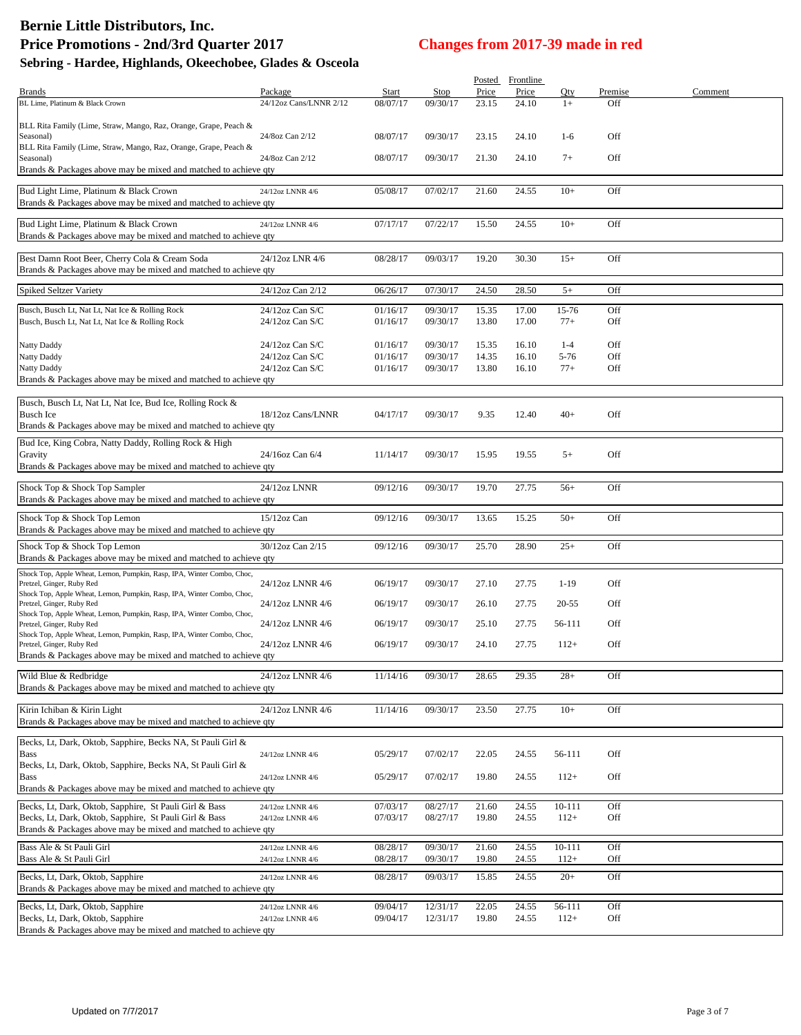# **Bernie Little Distributors, Inc. Price Promotions - 2nd/3rd Quarter 2017 Changes from 2017-39 made in red**

| Sebring - Hardee, Highlands, Okeechobee, Glades & Osceola |  |  |
|-----------------------------------------------------------|--|--|
|                                                           |  |  |

|                                                                                                     |                        |          |             | Posted | Frontline |          |         |         |
|-----------------------------------------------------------------------------------------------------|------------------------|----------|-------------|--------|-----------|----------|---------|---------|
| <b>Brands</b>                                                                                       | Package                | Start    | <b>Stop</b> | Price  | Price     | Qty      | Premise | Comment |
| BL Lime, Platinum & Black Crown                                                                     | 24/12oz Cans/LNNR 2/12 | 08/07/17 | 09/30/17    | 23.15  | 24.10     | $1+$     | Off     |         |
|                                                                                                     |                        |          |             |        |           |          |         |         |
| BLL Rita Family (Lime, Straw, Mango, Raz, Orange, Grape, Peach &                                    |                        |          |             |        |           |          |         |         |
| Seasonal)<br>BLL Rita Family (Lime, Straw, Mango, Raz, Orange, Grape, Peach &                       | 24/8oz Can 2/12        | 08/07/17 | 09/30/17    | 23.15  | 24.10     | $1-6$    | Off     |         |
| Seasonal)                                                                                           | 24/8oz Can 2/12        | 08/07/17 | 09/30/17    | 21.30  | 24.10     | $7+$     | Off     |         |
| Brands & Packages above may be mixed and matched to achieve qty                                     |                        |          |             |        |           |          |         |         |
|                                                                                                     |                        |          |             |        |           |          |         |         |
| Bud Light Lime, Platinum & Black Crown                                                              | 24/12oz LNNR 4/6       | 05/08/17 | 07/02/17    | 21.60  | 24.55     | $10+$    | Off     |         |
| Brands & Packages above may be mixed and matched to achieve qty                                     |                        |          |             |        |           |          |         |         |
|                                                                                                     |                        |          |             |        |           |          |         |         |
| Bud Light Lime, Platinum & Black Crown                                                              | 24/12oz LNNR 4/6       | 07/17/17 | 07/22/17    | 15.50  | 24.55     | $10+$    | Off     |         |
| Brands & Packages above may be mixed and matched to achieve qty                                     |                        |          |             |        |           |          |         |         |
|                                                                                                     |                        |          |             |        |           |          |         |         |
| Best Damn Root Beer, Cherry Cola & Cream Soda                                                       | 24/12oz LNR 4/6        | 08/28/17 | 09/03/17    | 19.20  | 30.30     | $15+$    | Off     |         |
| Brands & Packages above may be mixed and matched to achieve qty                                     |                        |          |             |        |           |          |         |         |
| Spiked Seltzer Variety                                                                              | 24/12oz Can 2/12       | 06/26/17 | 07/30/17    | 24.50  | 28.50     | $5+$     | Off     |         |
|                                                                                                     |                        |          |             |        |           |          |         |         |
| Busch, Busch Lt, Nat Lt, Nat Ice & Rolling Rock                                                     | 24/12oz Can S/C        | 01/16/17 | 09/30/17    | 15.35  | 17.00     | 15-76    | Off     |         |
| Busch, Busch Lt, Nat Lt, Nat Ice & Rolling Rock                                                     | $24/12$ oz Can S/C     | 01/16/17 | 09/30/17    | 13.80  | 17.00     | $77+$    | Off     |         |
|                                                                                                     |                        |          |             |        |           |          |         |         |
| Natty Daddy                                                                                         | $24/12$ oz Can S/C     | 01/16/17 | 09/30/17    | 15.35  | 16.10     | $1 - 4$  | Off     |         |
| Natty Daddy                                                                                         | $24/12$ oz Can S/C     | 01/16/17 | 09/30/17    | 14.35  | 16.10     | $5 - 76$ | Off     |         |
| Natty Daddy                                                                                         | 24/12oz Can S/C        | 01/16/17 | 09/30/17    | 13.80  | 16.10     | $77+$    | Off     |         |
| Brands & Packages above may be mixed and matched to achieve qty                                     |                        |          |             |        |           |          |         |         |
|                                                                                                     |                        |          |             |        |           |          |         |         |
| Busch, Busch Lt, Nat Lt, Nat Ice, Bud Ice, Rolling Rock &                                           |                        |          |             |        |           |          |         |         |
| <b>Busch Ice</b>                                                                                    | 18/12oz Cans/LNNR      | 04/17/17 | 09/30/17    | 9.35   | 12.40     | $40+$    | Off     |         |
| Brands & Packages above may be mixed and matched to achieve qty                                     |                        |          |             |        |           |          |         |         |
| Bud Ice, King Cobra, Natty Daddy, Rolling Rock & High                                               |                        |          |             |        |           |          |         |         |
| Gravity                                                                                             | 24/16oz Can 6/4        | 11/14/17 | 09/30/17    | 15.95  | 19.55     | $5+$     | Off     |         |
| Brands & Packages above may be mixed and matched to achieve qty                                     |                        |          |             |        |           |          |         |         |
|                                                                                                     |                        |          |             |        |           |          |         |         |
| Shock Top & Shock Top Sampler                                                                       | 24/12oz LNNR           | 09/12/16 | 09/30/17    | 19.70  | 27.75     | $56+$    | Off     |         |
| Brands & Packages above may be mixed and matched to achieve qty                                     |                        |          |             |        |           |          |         |         |
| Shock Top & Shock Top Lemon                                                                         | 15/12oz Can            | 09/12/16 | 09/30/17    | 13.65  | 15.25     | $50+$    | Off     |         |
| Brands & Packages above may be mixed and matched to achieve qty                                     |                        |          |             |        |           |          |         |         |
|                                                                                                     |                        |          |             |        |           |          |         |         |
| Shock Top & Shock Top Lemon                                                                         | 30/12oz Can 2/15       | 09/12/16 | 09/30/17    | 25.70  | 28.90     | $25+$    | Off     |         |
| Brands & Packages above may be mixed and matched to achieve qty                                     |                        |          |             |        |           |          |         |         |
| Shock Top, Apple Wheat, Lemon, Pumpkin, Rasp, IPA, Winter Combo, Choc,                              |                        |          |             |        |           |          |         |         |
| Pretzel, Ginger, Ruby Red                                                                           | 24/12oz LNNR 4/6       | 06/19/17 | 09/30/17    | 27.10  | 27.75     | $1 - 19$ | Off     |         |
| Shock Top, Apple Wheat, Lemon, Pumpkin, Rasp, IPA, Winter Combo, Choc,                              |                        |          |             |        |           |          |         |         |
| Pretzel, Ginger, Ruby Red                                                                           | 24/12oz LNNR 4/6       | 06/19/17 | 09/30/17    | 26.10  | 27.75     | 20-55    | Off     |         |
| Shock Top, Apple Wheat, Lemon, Pumpkin, Rasp, IPA, Winter Combo, Choc,<br>Pretzel, Ginger, Ruby Red | 24/12oz LNNR 4/6       | 06/19/17 | 09/30/17    | 25.10  | 27.75     | 56-111   | Off     |         |
| Shock Top, Apple Wheat, Lemon, Pumpkin, Rasp, IPA, Winter Combo, Choc,                              |                        |          |             |        |           |          |         |         |
| Pretzel, Ginger, Ruby Red                                                                           | 24/12oz LNNR 4/6       | 06/19/17 | 09/30/17    | 24.10  | 27.75     | $112+$   | Off     |         |
| Brands & Packages above may be mixed and matched to achieve qty                                     |                        |          |             |        |           |          |         |         |
|                                                                                                     |                        |          |             |        |           |          |         |         |
| Wild Blue & Redbridge                                                                               | 24/12oz LNNR 4/6       | 11/14/16 | 09/30/17    | 28.65  | 29.35     | $28+$    | Off     |         |
| Brands & Packages above may be mixed and matched to achieve qty                                     |                        |          |             |        |           |          |         |         |
|                                                                                                     |                        |          |             |        |           |          |         |         |
| Kirin Ichiban & Kirin Light                                                                         | 24/12oz LNNR 4/6       | 11/14/16 | 09/30/17    | 23.50  | 27.75     | $10+$    | Off     |         |
| Brands & Packages above may be mixed and matched to achieve qty                                     |                        |          |             |        |           |          |         |         |
| Becks, Lt, Dark, Oktob, Sapphire, Becks NA, St Pauli Girl &                                         |                        |          |             |        |           |          |         |         |
| Bass                                                                                                | 24/12oz LNNR 4/6       | 05/29/17 | 07/02/17    | 22.05  | 24.55     | 56-111   | Off     |         |
| Becks, Lt, Dark, Oktob, Sapphire, Becks NA, St Pauli Girl &                                         |                        |          |             |        |           |          |         |         |
| Bass                                                                                                | 24/12oz LNNR 4/6       | 05/29/17 | 07/02/17    | 19.80  | 24.55     | $112+$   | Off     |         |
| Brands & Packages above may be mixed and matched to achieve qty                                     |                        |          |             |        |           |          |         |         |
|                                                                                                     |                        |          |             |        |           |          |         |         |
| Becks, Lt, Dark, Oktob, Sapphire, St Pauli Girl & Bass                                              | 24/12oz LNNR 4/6       | 07/03/17 | 08/27/17    | 21.60  | 24.55     | 10-111   | Off     |         |
| Becks, Lt, Dark, Oktob, Sapphire, St Pauli Girl & Bass                                              | $24/12$ oz LNNR $4/6$  | 07/03/17 | 08/27/17    | 19.80  | 24.55     | $112+$   | Off     |         |
| Brands & Packages above may be mixed and matched to achieve qty                                     |                        |          |             |        |           |          |         |         |
| Bass Ale & St Pauli Girl                                                                            | 24/12oz LNNR 4/6       | 08/28/17 | 09/30/17    | 21.60  | 24.55     | 10-111   | Off     |         |
| Bass Ale & St Pauli Girl                                                                            | $24/12$ oz LNNR $4/6$  | 08/28/17 | 09/30/17    | 19.80  | 24.55     | $112+$   | Off     |         |
|                                                                                                     |                        |          |             |        |           |          |         |         |
| Becks, Lt, Dark, Oktob, Sapphire                                                                    | 24/12oz LNNR 4/6       | 08/28/17 | 09/03/17    | 15.85  | 24.55     | $20+$    | Off     |         |
| Brands & Packages above may be mixed and matched to achieve qty                                     |                        |          |             |        |           |          |         |         |
| Becks, Lt, Dark, Oktob, Sapphire                                                                    | 24/12oz LNNR 4/6       | 09/04/17 | 12/31/17    | 22.05  | 24.55     | 56-111   | Off     |         |
| Becks, Lt, Dark, Oktob, Sapphire                                                                    | 24/12oz LNNR 4/6       | 09/04/17 | 12/31/17    | 19.80  | 24.55     | $112+$   | Off     |         |
| Brands & Packages above may be mixed and matched to achieve qty                                     |                        |          |             |        |           |          |         |         |
|                                                                                                     |                        |          |             |        |           |          |         |         |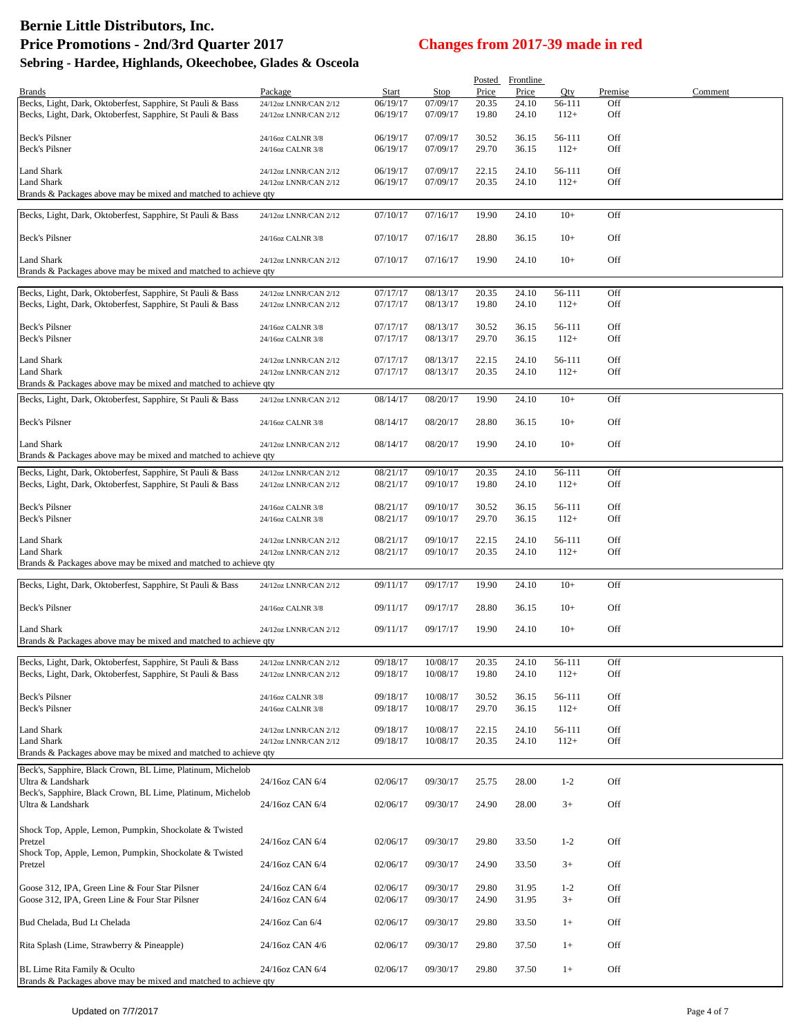## **Bernie Little Distributors, Inc. Price Promotions - 2nd/3rd Quarter 2017 Changes from 2017-39 made in red**

| Sebring - Hardee, Highlands, Okeechobee, Glades & Osceola |  |  |  |  |
|-----------------------------------------------------------|--|--|--|--|
|-----------------------------------------------------------|--|--|--|--|

|                                                                 |                       |          |             | Posted | Frontline |         |         |         |
|-----------------------------------------------------------------|-----------------------|----------|-------------|--------|-----------|---------|---------|---------|
| <b>Brands</b>                                                   | Package               | Start    | <b>Stop</b> | Price  | Price     | Qty     | Premise | Comment |
| Becks, Light, Dark, Oktoberfest, Sapphire, St Pauli & Bass      | 24/12oz LNNR/CAN 2/12 | 06/19/17 | 07/09/17    | 20.35  | 24.10     | 56-111  | Off     |         |
| Becks, Light, Dark, Oktoberfest, Sapphire, St Pauli & Bass      |                       | 06/19/17 | 07/09/17    | 19.80  | 24.10     | $112+$  | Off     |         |
|                                                                 | 24/12oz LNNR/CAN 2/12 |          |             |        |           |         |         |         |
|                                                                 |                       |          |             |        |           |         |         |         |
| Beck's Pilsner                                                  | 24/16oz CALNR 3/8     | 06/19/17 | 07/09/17    | 30.52  | 36.15     | 56-111  | Off     |         |
| <b>Beck's Pilsner</b>                                           | 24/16oz CALNR 3/8     | 06/19/17 | 07/09/17    | 29.70  | 36.15     | $112+$  | Off     |         |
|                                                                 |                       |          |             |        |           |         |         |         |
| <b>Land Shark</b>                                               | 24/12oz LNNR/CAN 2/12 | 06/19/17 | 07/09/17    | 22.15  | 24.10     | 56-111  | Off     |         |
| <b>Land Shark</b>                                               | 24/12oz LNNR/CAN 2/12 | 06/19/17 | 07/09/17    | 20.35  | 24.10     | $112+$  | Off     |         |
| Brands & Packages above may be mixed and matched to achieve qty |                       |          |             |        |           |         |         |         |
|                                                                 |                       |          |             |        |           |         |         |         |
| Becks, Light, Dark, Oktoberfest, Sapphire, St Pauli & Bass      | 24/12oz LNNR/CAN 2/12 | 07/10/17 | 07/16/17    | 19.90  | 24.10     | $10+$   | Off     |         |
|                                                                 |                       |          |             |        |           |         |         |         |
| <b>Beck's Pilsner</b>                                           | 24/16oz CALNR 3/8     | 07/10/17 | 07/16/17    | 28.80  | 36.15     | $10+$   | Off     |         |
|                                                                 |                       |          |             |        |           |         |         |         |
| <b>Land Shark</b>                                               | 24/12oz LNNR/CAN 2/12 | 07/10/17 | 07/16/17    | 19.90  | 24.10     | $10+$   | Off     |         |
| Brands & Packages above may be mixed and matched to achieve qty |                       |          |             |        |           |         |         |         |
|                                                                 |                       |          |             |        |           |         |         |         |
|                                                                 |                       | 07/17/17 | 08/13/17    | 20.35  | 24.10     | 56-111  | Off     |         |
| Becks, Light, Dark, Oktoberfest, Sapphire, St Pauli & Bass      | 24/12oz LNNR/CAN 2/12 |          |             |        |           |         |         |         |
| Becks, Light, Dark, Oktoberfest, Sapphire, St Pauli & Bass      | 24/12oz LNNR/CAN 2/12 | 07/17/17 | 08/13/17    | 19.80  | 24.10     | $112+$  | Off     |         |
|                                                                 |                       |          |             |        |           |         |         |         |
| <b>Beck's Pilsner</b>                                           | 24/16oz CALNR 3/8     | 07/17/17 | 08/13/17    | 30.52  | 36.15     | 56-111  | Off     |         |
| <b>Beck's Pilsner</b>                                           | 24/16oz CALNR 3/8     | 07/17/17 | 08/13/17    | 29.70  | 36.15     | $112+$  | Off     |         |
|                                                                 |                       |          |             |        |           |         |         |         |
| <b>Land Shark</b>                                               | 24/12oz LNNR/CAN 2/12 | 07/17/17 | 08/13/17    | 22.15  | 24.10     | 56-111  | Off     |         |
| <b>Land Shark</b>                                               | 24/12oz LNNR/CAN 2/12 | 07/17/17 | 08/13/17    | 20.35  | 24.10     | $112+$  | Off     |         |
| Brands & Packages above may be mixed and matched to achieve qty |                       |          |             |        |           |         |         |         |
|                                                                 |                       |          |             |        |           |         |         |         |
| Becks, Light, Dark, Oktoberfest, Sapphire, St Pauli & Bass      | 24/12oz LNNR/CAN 2/12 | 08/14/17 | 08/20/17    | 19.90  | 24.10     | $10+$   | Off     |         |
|                                                                 |                       |          |             |        |           |         |         |         |
| <b>Beck's Pilsner</b>                                           | 24/16oz CALNR 3/8     | 08/14/17 | 08/20/17    | 28.80  | 36.15     | $10+$   | Off     |         |
|                                                                 |                       |          |             |        |           |         |         |         |
| <b>Land Shark</b>                                               | 24/12oz LNNR/CAN 2/12 | 08/14/17 | 08/20/17    | 19.90  | 24.10     | $10+$   | Off     |         |
| Brands & Packages above may be mixed and matched to achieve qty |                       |          |             |        |           |         |         |         |
|                                                                 |                       |          |             |        |           |         |         |         |
| Becks, Light, Dark, Oktoberfest, Sapphire, St Pauli & Bass      | 24/12oz LNNR/CAN 2/12 | 08/21/17 | 09/10/17    | 20.35  | 24.10     | 56-111  | Off     |         |
| Becks, Light, Dark, Oktoberfest, Sapphire, St Pauli & Bass      | 24/12oz LNNR/CAN 2/12 | 08/21/17 | 09/10/17    | 19.80  | 24.10     | $112+$  | Off     |         |
|                                                                 |                       |          |             |        |           |         |         |         |
| <b>Beck's Pilsner</b>                                           | 24/16oz CALNR 3/8     | 08/21/17 | 09/10/17    | 30.52  | 36.15     | 56-111  | Off     |         |
| <b>Beck's Pilsner</b>                                           | 24/16oz CALNR 3/8     | 08/21/17 | 09/10/17    | 29.70  | 36.15     | $112+$  | Off     |         |
|                                                                 |                       |          |             |        |           |         |         |         |
| <b>Land Shark</b>                                               | 24/12oz LNNR/CAN 2/12 | 08/21/17 | 09/10/17    | 22.15  | 24.10     | 56-111  | Off     |         |
| <b>Land Shark</b>                                               |                       |          | 09/10/17    | 20.35  | 24.10     | $112+$  | Off     |         |
|                                                                 | 24/12oz LNNR/CAN 2/12 | 08/21/17 |             |        |           |         |         |         |
| Brands & Packages above may be mixed and matched to achieve qty |                       |          |             |        |           |         |         |         |
|                                                                 |                       |          |             |        |           |         |         |         |
| Becks, Light, Dark, Oktoberfest, Sapphire, St Pauli & Bass      | 24/12oz LNNR/CAN 2/12 | 09/11/17 | 09/17/17    | 19.90  | 24.10     | $10+$   | Off     |         |
|                                                                 |                       |          |             |        |           |         |         |         |
| <b>Beck's Pilsner</b>                                           | 24/16oz CALNR 3/8     | 09/11/17 | 09/17/17    | 28.80  | 36.15     | $10+$   | Off     |         |
|                                                                 |                       |          |             |        |           |         |         |         |
| <b>Land Shark</b>                                               | 24/12oz LNNR/CAN 2/12 | 09/11/17 | 09/17/17    | 19.90  | 24.10     | $10+$   | Off     |         |
| Brands & Packages above may be mixed and matched to achieve qty |                       |          |             |        |           |         |         |         |
|                                                                 |                       |          |             |        |           |         |         |         |
| Becks, Light, Dark, Oktoberfest, Sapphire, St Pauli & Bass      | 24/12oz LNNR/CAN 2/12 | 09/18/17 | 10/08/17    | 20.35  | 24.10     | 56-111  | Off     |         |
| Becks, Light, Dark, Oktoberfest, Sapphire, St Pauli & Bass      | 24/12oz LNNR/CAN 2/12 | 09/18/17 | 10/08/17    | 19.80  | 24.10     | $112+$  | Off     |         |
|                                                                 |                       |          |             |        |           |         |         |         |
| <b>Beck's Pilsner</b>                                           | 24/16oz CALNR 3/8     | 09/18/17 | 10/08/17    | 30.52  | 36.15     | 56-111  | Off     |         |
| <b>Beck's Pilsner</b>                                           |                       | 09/18/17 |             | 29.70  | 36.15     | $112+$  | Off     |         |
|                                                                 | 24/16oz CALNR 3/8     |          | 10/08/17    |        |           |         |         |         |
|                                                                 |                       |          |             |        |           |         |         |         |
| <b>Land Shark</b>                                               | 24/12oz LNNR/CAN 2/12 | 09/18/17 | 10/08/17    | 22.15  | 24.10     | 56-111  | Off     |         |
| Land Shark                                                      | 24/12oz LNNR/CAN 2/12 | 09/18/17 | 10/08/17    | 20.35  | 24.10     | $112+$  | Off     |         |
| Brands & Packages above may be mixed and matched to achieve qty |                       |          |             |        |           |         |         |         |
| Beck's, Sapphire, Black Crown, BL Lime, Platinum, Michelob      |                       |          |             |        |           |         |         |         |
| Ultra & Landshark                                               | 24/16oz CAN 6/4       | 02/06/17 | 09/30/17    | 25.75  | 28.00     | $1 - 2$ | Off     |         |
| Beck's, Sapphire, Black Crown, BL Lime, Platinum, Michelob      |                       |          |             |        |           |         |         |         |
|                                                                 |                       |          |             |        |           |         |         |         |
| Ultra & Landshark                                               | 24/16oz CAN 6/4       | 02/06/17 | 09/30/17    | 24.90  | 28.00     | $3+$    | Off     |         |
|                                                                 |                       |          |             |        |           |         |         |         |
| Shock Top, Apple, Lemon, Pumpkin, Shockolate & Twisted          |                       |          |             |        |           |         |         |         |
| Pretzel                                                         | 24/16oz CAN 6/4       | 02/06/17 | 09/30/17    | 29.80  | 33.50     | $1 - 2$ | Off     |         |
| Shock Top, Apple, Lemon, Pumpkin, Shockolate & Twisted          |                       |          |             |        |           |         |         |         |
| Pretzel                                                         | 24/16oz CAN 6/4       | 02/06/17 | 09/30/17    | 24.90  | 33.50     | $3+$    | Off     |         |
|                                                                 |                       |          |             |        |           |         |         |         |
|                                                                 |                       |          |             |        |           |         |         |         |
| Goose 312, IPA, Green Line & Four Star Pilsner                  | 24/16oz CAN 6/4       | 02/06/17 | 09/30/17    | 29.80  | 31.95     | $1 - 2$ | Off     |         |
| Goose 312, IPA, Green Line & Four Star Pilsner                  | 24/16oz CAN 6/4       | 02/06/17 | 09/30/17    | 24.90  | 31.95     | $3+$    | Off     |         |
|                                                                 |                       |          |             |        |           |         |         |         |
| Bud Chelada, Bud Lt Chelada                                     | 24/16oz Can 6/4       | 02/06/17 | 09/30/17    | 29.80  | 33.50     | $1+$    | Off     |         |
|                                                                 |                       |          |             |        |           |         |         |         |
| Rita Splash (Lime, Strawberry & Pineapple)                      | 24/16oz CAN 4/6       | 02/06/17 | 09/30/17    | 29.80  | 37.50     | $1+$    | Off     |         |
|                                                                 |                       |          |             |        |           |         |         |         |
| BL Lime Rita Family & Oculto                                    | 24/16oz CAN 6/4       | 02/06/17 | 09/30/17    | 29.80  | 37.50     | $1+$    | Off     |         |
| Brands & Packages above may be mixed and matched to achieve qty |                       |          |             |        |           |         |         |         |
|                                                                 |                       |          |             |        |           |         |         |         |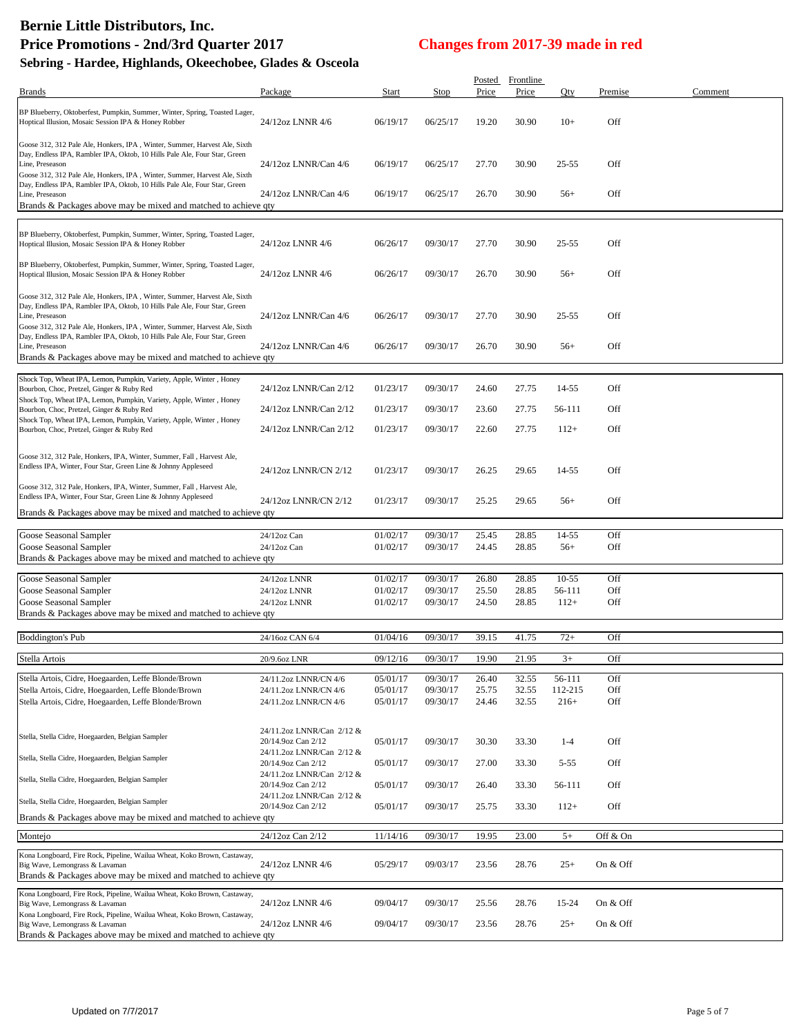## **Bernie Little Distributors, Inc. Price Promotions - 2nd/3rd Quarter 2017 Changes from 2017-39 made in red**

Qty Premise Comment

| $2.5$ $0.000$ $0.000$ $0.000$ $0.000$ $0.000$                                                                                                                             |                      |          |          |                 | $\frac{1}{2}$      |           |      |
|---------------------------------------------------------------------------------------------------------------------------------------------------------------------------|----------------------|----------|----------|-----------------|--------------------|-----------|------|
| Sebring - Hardee, Highlands, Okeechobee, Glades & Osceola<br><b>Brands</b>                                                                                                | Package              | Start    | Stop     | Posted<br>Price | Frontline<br>Price | Qty       | Prem |
|                                                                                                                                                                           |                      |          |          |                 |                    |           |      |
| BP Blueberry, Oktoberfest, Pumpkin, Summer, Winter, Spring, Toasted Lager,<br>Hoptical Illusion, Mosaic Session IPA & Honey Robber                                        | 24/12oz LNNR 4/6     | 06/19/17 | 06/25/17 | 19.20           | 30.90              | $10+$     | Off  |
| Goose 312, 312 Pale Ale, Honkers, IPA, Winter, Summer, Harvest Ale, Sixth<br>Day, Endless IPA, Rambler IPA, Oktob, 10 Hills Pale Ale, Four Star, Green<br>Line, Preseason | 24/12oz LNNR/Can 4/6 | 06/19/17 | 06/25/17 | 27.70           | 30.90              | $25 - 55$ | Off  |
| Goose 312, 312 Pale Ale, Honkers, IPA, Winter, Summer, Harvest Ale, Sixth<br>Day, Endless IPA, Rambler IPA, Oktob, 10 Hills Pale Ale, Four Star, Green                    |                      |          |          |                 |                    |           |      |
| Line, Preseason<br>Brands & Packages above may be mixed and matched to achieve qty                                                                                        | 24/12oz LNNR/Can 4/6 | 06/19/17 | 06/25/17 | 26.70           | 30.90              | $56+$     | Off  |
|                                                                                                                                                                           |                      |          |          |                 |                    |           |      |
| BP Blueberry, Oktoberfest, Pumpkin, Summer, Winter, Spring, Toasted Lager,<br>Hoptical Illusion, Mosaic Session IPA & Honey Robber                                        | 24/12oz LNNR 4/6     | 06/26/17 | 09/30/17 | 27.70           | 30.90              | $25 - 55$ | Off  |
| BP Blueberry, Oktoberfest, Pumpkin, Summer, Winter, Spring, Toasted Lager,<br>Hoptical Illusion, Mosaic Session IPA & Honey Robber                                        | 24/12oz LNNR 4/6     | 06/26/17 | 09/30/17 | 26.70           | 30.90              | $56+$     | Off  |
| مارد المارد المعالمين المستحدث والمستخدم المتحدث والمتحدث والمتحدث والمتحدث والمتحدث والمتحدث                                                                             |                      |          |          |                 |                    |           |      |

| BP Blueberry, Oktoberfest, Pumpkin, Summer, Winter, Spring, Toasted Lager,<br>Hoptical Illusion, Mosaic Session IPA & Honey Robber                                                                                                                     | 24/12oz LNNR 4/6                                | 06/26/17             | 09/30/17             | 26.70          | 30.90          | $56+$             | Off        |  |
|--------------------------------------------------------------------------------------------------------------------------------------------------------------------------------------------------------------------------------------------------------|-------------------------------------------------|----------------------|----------------------|----------------|----------------|-------------------|------------|--|
| Goose 312, 312 Pale Ale, Honkers, IPA, Winter, Summer, Harvest Ale, Sixth<br>Day, Endless IPA, Rambler IPA, Oktob, 10 Hills Pale Ale, Four Star, Green<br>Line, Preseason<br>Goose 312, 312 Pale Ale, Honkers, IPA, Winter, Summer, Harvest Ale, Sixth | 24/12oz LNNR/Can 4/6                            | 06/26/17             | 09/30/17             | 27.70          | 30.90          | 25-55             | Off        |  |
| Day, Endless IPA, Rambler IPA, Oktob, 10 Hills Pale Ale, Four Star, Green<br>Line, Preseason<br>Brands & Packages above may be mixed and matched to achieve qty                                                                                        | 24/12oz LNNR/Can 4/6                            | 06/26/17             | 09/30/17             | 26.70          | 30.90          | $56+$             | Off        |  |
| Shock Top, Wheat IPA, Lemon, Pumpkin, Variety, Apple, Winter, Honey<br>Bourbon, Choc, Pretzel, Ginger & Ruby Red                                                                                                                                       | 24/12oz LNNR/Can 2/12                           | 01/23/17             | 09/30/17             | 24.60          | 27.75          | 14-55             | Off        |  |
| Shock Top, Wheat IPA, Lemon, Pumpkin, Variety, Apple, Winter, Honey<br>Bourbon, Choc, Pretzel, Ginger & Ruby Red                                                                                                                                       | 24/12oz LNNR/Can 2/12                           | 01/23/17             | 09/30/17             | 23.60          | 27.75          | 56-111            | Off        |  |
| Shock Top, Wheat IPA, Lemon, Pumpkin, Variety, Apple, Winter, Honey<br>Bourbon, Choc, Pretzel, Ginger & Ruby Red                                                                                                                                       | 24/12oz LNNR/Can 2/12                           | 01/23/17             | 09/30/17             | 22.60          | 27.75          | $112+$            | Off        |  |
| Goose 312, 312 Pale, Honkers, IPA, Winter, Summer, Fall, Harvest Ale,<br>Endless IPA, Winter, Four Star, Green Line & Johnny Appleseed                                                                                                                 | 24/12oz LNNR/CN 2/12                            | 01/23/17             | 09/30/17             | 26.25          | 29.65          | 14-55             | Off        |  |
| Goose 312, 312 Pale, Honkers, IPA, Winter, Summer, Fall, Harvest Ale,<br>Endless IPA, Winter, Four Star, Green Line & Johnny Appleseed                                                                                                                 | 24/12oz LNNR/CN 2/12                            | 01/23/17             | 09/30/17             | 25.25          | 29.65          | $56+$             | Off        |  |
| Brands & Packages above may be mixed and matched to achieve qty                                                                                                                                                                                        |                                                 |                      |                      |                |                |                   |            |  |
| Goose Seasonal Sampler                                                                                                                                                                                                                                 | 24/12oz Can                                     | 01/02/17             | 09/30/17             | 25.45          | 28.85          | 14-55             | Off        |  |
| Goose Seasonal Sampler<br>Brands & Packages above may be mixed and matched to achieve qty                                                                                                                                                              | $24/12$ oz Can                                  | 01/02/17             | 09/30/17             | 24.45          | 28.85          | $56+$             | Off        |  |
| Goose Seasonal Sampler                                                                                                                                                                                                                                 | 24/12oz LNNR                                    | 01/02/17             | 09/30/17             | 26.80          | 28.85          | $10 - 55$         | Off        |  |
| Goose Seasonal Sampler                                                                                                                                                                                                                                 | 24/12oz LNNR                                    | 01/02/17             | 09/30/17             | 25.50          | 28.85          | 56-111            | Off        |  |
| Goose Seasonal Sampler<br>Brands & Packages above may be mixed and matched to achieve qty                                                                                                                                                              | 24/12oz LNNR                                    | 01/02/17             | 09/30/17             | 24.50          | 28.85          | $112+$            | Off        |  |
|                                                                                                                                                                                                                                                        |                                                 |                      |                      |                |                |                   |            |  |
| <b>Boddington's Pub</b>                                                                                                                                                                                                                                | 24/16oz CAN 6/4                                 | 01/04/16             | 09/30/17             | 39.15          | 41.75          | $72+$             | Off        |  |
| Stella Artois                                                                                                                                                                                                                                          | 20/9.6oz LNR                                    | 09/12/16             | 09/30/17             | 19.90          | 21.95          | $3+$              | Off        |  |
|                                                                                                                                                                                                                                                        |                                                 |                      |                      |                |                |                   |            |  |
| Stella Artois, Cidre, Hoegaarden, Leffe Blonde/Brown                                                                                                                                                                                                   | 24/11.2oz LNNR/CN 4/6                           | 05/01/17<br>05/01/17 | 09/30/17             | 26.40          | 32.55          | 56-111<br>112-215 | Off<br>Off |  |
| Stella Artois, Cidre, Hoegaarden, Leffe Blonde/Brown<br>Stella Artois, Cidre, Hoegaarden, Leffe Blonde/Brown                                                                                                                                           | 24/11.2oz LNNR/CN 4/6<br>24/11.2oz LNNR/CN 4/6  | 05/01/17             | 09/30/17<br>09/30/17 | 25.75<br>24.46 | 32.55<br>32.55 | $216+$            | Off        |  |
|                                                                                                                                                                                                                                                        |                                                 |                      |                      |                |                |                   |            |  |
| Stella, Stella Cidre, Hoegaarden, Belgian Sampler                                                                                                                                                                                                      | 24/11.2oz LNNR/Can 2/12 &<br>20/14.9oz Can 2/12 | 05/01/17             | 09/30/17             | 30.30          | 33.30          | $1 - 4$           | Off        |  |
| Stella, Stella Cidre, Hoegaarden, Belgian Sampler                                                                                                                                                                                                      | 24/11.2oz LNNR/Can 2/12 &<br>20/14.9oz Can 2/12 | 05/01/17             | 09/30/17             | 27.00          | 33.30          | $5 - 55$          | Off        |  |
| Stella, Stella Cidre, Hoegaarden, Belgian Sampler                                                                                                                                                                                                      | 24/11.2oz LNNR/Can 2/12 &<br>20/14.9oz Can 2/12 | 05/01/17             | 09/30/17             | 26.40          | 33.30          | 56-111            | Off        |  |
| Stella, Stella Cidre, Hoegaarden, Belgian Sampler                                                                                                                                                                                                      | 24/11.2oz LNNR/Can 2/12 &<br>20/14.9oz Can 2/12 | 05/01/17             | 09/30/17             | 25.75          | 33.30          | $112+$            | Off        |  |
| Brands & Packages above may be mixed and matched to achieve qty                                                                                                                                                                                        |                                                 |                      |                      |                |                |                   |            |  |
| Montejo                                                                                                                                                                                                                                                | 24/12oz Can 2/12                                | 11/14/16             | 09/30/17             | 19.95          | 23.00          | $5+$              | Off & On   |  |
| Kona Longboard, Fire Rock, Pipeline, Wailua Wheat, Koko Brown, Castaway,<br>Big Wave, Lemongrass & Lavaman<br>Brands & Packages above may be mixed and matched to achieve qty                                                                          | 24/12oz LNNR 4/6                                | 05/29/17             | 09/03/17             | 23.56          | 28.76          | $25+$             | On & Off   |  |
| Kona Longboard, Fire Rock, Pipeline, Wailua Wheat, Koko Brown, Castaway,<br>Big Wave, Lemongrass & Lavaman                                                                                                                                             | 24/12oz LNNR 4/6                                | 09/04/17             | 09/30/17             | 25.56          | 28.76          | 15-24             | On & Off   |  |
| Kona Longboard, Fire Rock, Pipeline, Wailua Wheat, Koko Brown, Castaway,<br>Big Wave, Lemongrass & Lavaman                                                                                                                                             | 24/12oz LNNR 4/6                                | 09/04/17             | 09/30/17             | 23.56          | 28.76          | $25+$             | On & Off   |  |
| Brands & Packages above may be mixed and matched to achieve qty                                                                                                                                                                                        |                                                 |                      |                      |                |                |                   |            |  |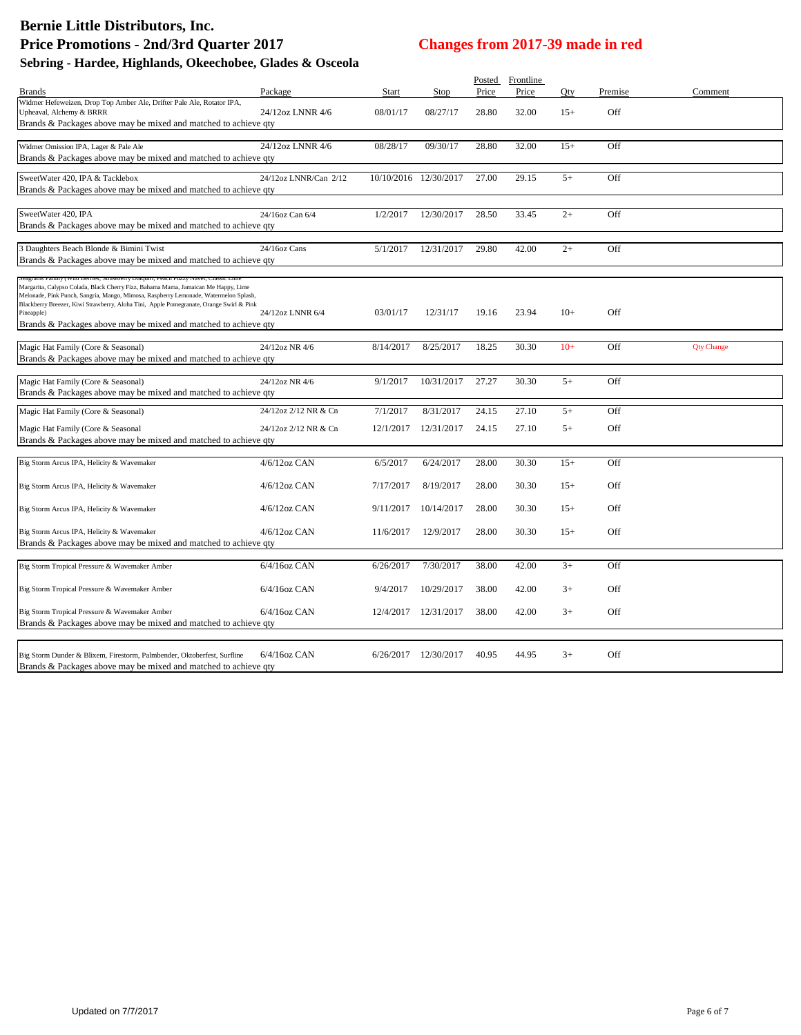| <b>Brands</b>                                                                                                                                                                                                                                                                                                                                                                                                                                | Package               | Start     | Stop                  | Posted<br>Price | Frontline<br>Price | Qty   | Premise | Comment           |
|----------------------------------------------------------------------------------------------------------------------------------------------------------------------------------------------------------------------------------------------------------------------------------------------------------------------------------------------------------------------------------------------------------------------------------------------|-----------------------|-----------|-----------------------|-----------------|--------------------|-------|---------|-------------------|
| Widmer Hefeweizen, Drop Top Amber Ale, Drifter Pale Ale, Rotator IPA,<br>Upheaval, Alchemy & BRRR                                                                                                                                                                                                                                                                                                                                            | 24/12oz LNNR 4/6      | 08/01/17  | 08/27/17              | 28.80           | 32.00              | $15+$ | Off     |                   |
| Brands & Packages above may be mixed and matched to achieve qty                                                                                                                                                                                                                                                                                                                                                                              |                       |           |                       |                 |                    |       |         |                   |
| Widmer Omission IPA, Lager & Pale Ale<br>Brands & Packages above may be mixed and matched to achieve qty                                                                                                                                                                                                                                                                                                                                     | 24/12oz LNNR 4/6      | 08/28/17  | 09/30/17              | 28.80           | 32.00              | $15+$ | Off     |                   |
|                                                                                                                                                                                                                                                                                                                                                                                                                                              |                       |           |                       |                 |                    |       |         |                   |
| SweetWater 420, IPA & Tacklebox<br>Brands & Packages above may be mixed and matched to achieve qty                                                                                                                                                                                                                                                                                                                                           | 24/12oz LNNR/Can 2/12 |           | 10/10/2016 12/30/2017 | 27.00           | 29.15              | $5+$  | Off     |                   |
| SweetWater 420, IPA<br>Brands & Packages above may be mixed and matched to achieve qty                                                                                                                                                                                                                                                                                                                                                       | 24/16oz Can 6/4       | 1/2/2017  | 12/30/2017            | 28.50           | 33.45              | $2+$  | Off     |                   |
| 3 Daughters Beach Blonde & Bimini Twist<br>Brands & Packages above may be mixed and matched to achieve qty                                                                                                                                                                                                                                                                                                                                   | 24/16oz Cans          | 5/1/2017  | 12/31/2017            | 29.80           | 42.00              | $2+$  | Off     |                   |
| Seagrams Family (Wild Berries, Strawberry Daiquiri, Peach Fuzzy Navel, Classic Lim<br>Margarita, Calypso Colada, Black Cherry Fizz, Bahama Mama, Jamaican Me Happy, Lime<br>Melonade, Pink Punch, Sangria, Mango, Mimosa, Raspberry Lemonade, Watermelon Splash,<br>Blackberry Breezer, Kiwi Strawberry, Aloha Tini, Apple Pomegranate, Orange Swirl & Pink<br>Pineapple)<br>Brands & Packages above may be mixed and matched to achieve qty | 24/12oz LNNR 6/4      | 03/01/17  | 12/31/17              | 19.16           | 23.94              | $10+$ | Off     |                   |
| Magic Hat Family (Core & Seasonal)<br>Brands & Packages above may be mixed and matched to achieve qty                                                                                                                                                                                                                                                                                                                                        | 24/12oz NR 4/6        | 8/14/2017 | 8/25/2017             | 18.25           | 30.30              | $10+$ | Off     | <b>Qty Change</b> |
| Magic Hat Family (Core & Seasonal)<br>Brands & Packages above may be mixed and matched to achieve qty                                                                                                                                                                                                                                                                                                                                        | 24/12oz NR 4/6        | 9/1/2017  | 10/31/2017            | 27.27           | 30.30              | $5+$  | Off     |                   |
| Magic Hat Family (Core & Seasonal)                                                                                                                                                                                                                                                                                                                                                                                                           | 24/12oz 2/12 NR & Cn  | 7/1/2017  | 8/31/2017             | 24.15           | 27.10              | $5+$  | Off     |                   |
| Magic Hat Family (Core & Seasonal<br>Brands & Packages above may be mixed and matched to achieve qty                                                                                                                                                                                                                                                                                                                                         | 24/12oz 2/12 NR & Cn  | 12/1/2017 | 12/31/2017            | 24.15           | 27.10              | $5+$  | Off     |                   |
| Big Storm Arcus IPA, Helicity & Wavemaker                                                                                                                                                                                                                                                                                                                                                                                                    | 4/6/12oz CAN          | 6/5/2017  | 6/24/2017             | 28.00           | 30.30              | $15+$ | Off     |                   |
| Big Storm Arcus IPA, Helicity & Wavemaker                                                                                                                                                                                                                                                                                                                                                                                                    | $4/6/12$ oz CAN       | 7/17/2017 | 8/19/2017             | 28.00           | 30.30              | $15+$ | Off     |                   |
| Big Storm Arcus IPA, Helicity & Wavemaker                                                                                                                                                                                                                                                                                                                                                                                                    | $4/6/12$ oz CAN       | 9/11/2017 | 10/14/2017            | 28.00           | 30.30              | $15+$ | Off     |                   |
| Big Storm Arcus IPA, Helicity & Wavemaker<br>Brands & Packages above may be mixed and matched to achieve qty                                                                                                                                                                                                                                                                                                                                 | $4/6/12$ oz CAN       | 11/6/2017 | 12/9/2017             | 28.00           | 30.30              | $15+$ | Off     |                   |
| Big Storm Tropical Pressure & Wavemaker Amber                                                                                                                                                                                                                                                                                                                                                                                                | $6/4/16$ oz CAN       | 6/26/2017 | 7/30/2017             | 38.00           | 42.00              | $3+$  | Off     |                   |
| Big Storm Tropical Pressure & Wavemaker Amber                                                                                                                                                                                                                                                                                                                                                                                                | $6/4/16$ oz CAN       | 9/4/2017  | 10/29/2017            | 38.00           | 42.00              | $3+$  | Off     |                   |
| Big Storm Tropical Pressure & Wavemaker Amber<br>Brands & Packages above may be mixed and matched to achieve qty                                                                                                                                                                                                                                                                                                                             | 6/4/16oz CAN          |           | 12/4/2017 12/31/2017  | 38.00           | 42.00              | $3+$  | Off     |                   |
| Big Storm Dunder & Blixem, Firestorm, Palmbender, Oktoberfest, Surfline<br>Brands & Packages above may be mixed and matched to achieve qty                                                                                                                                                                                                                                                                                                   | $6/4/16$ oz CAN       |           | 6/26/2017 12/30/2017  | 40.95           | 44.95              | $3+$  | Off     |                   |